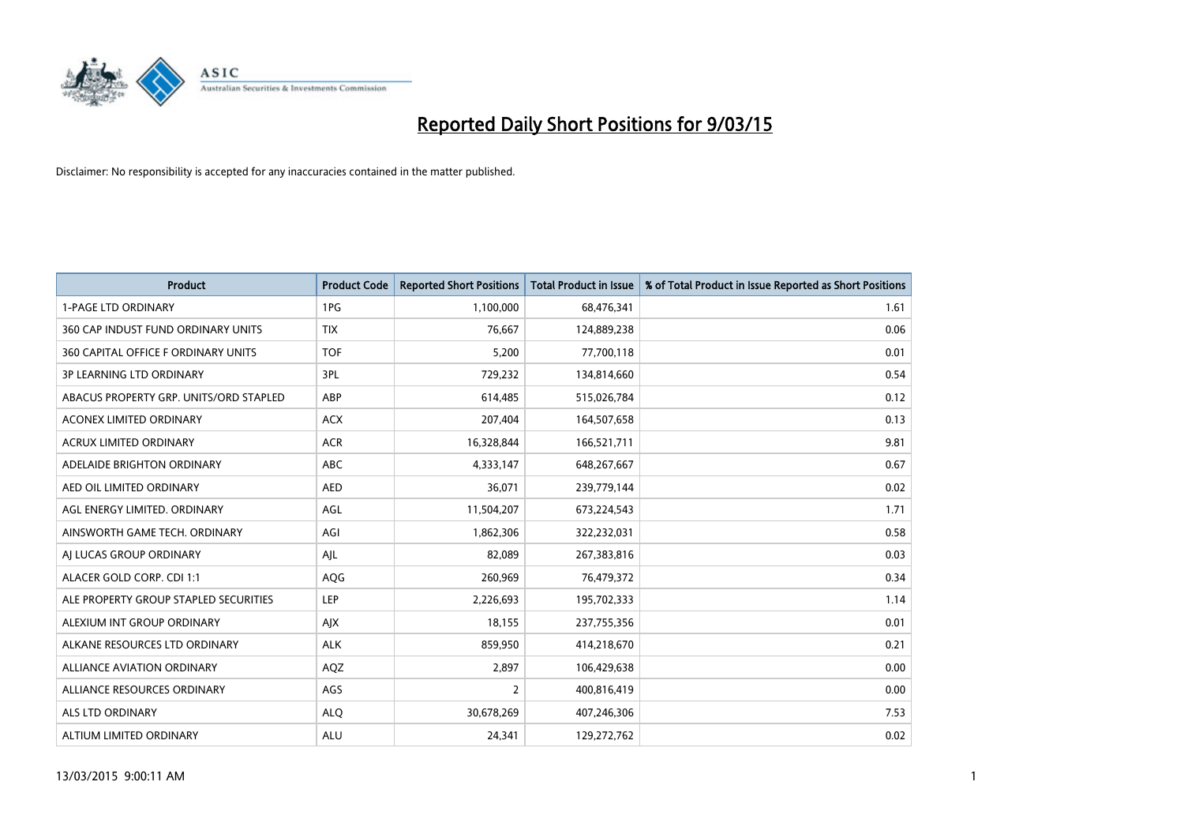

| <b>Product</b>                         | <b>Product Code</b> | <b>Reported Short Positions</b> | <b>Total Product in Issue</b> | % of Total Product in Issue Reported as Short Positions |
|----------------------------------------|---------------------|---------------------------------|-------------------------------|---------------------------------------------------------|
| <b>1-PAGE LTD ORDINARY</b>             | 1PG                 | 1,100,000                       | 68,476,341                    | 1.61                                                    |
| 360 CAP INDUST FUND ORDINARY UNITS     | <b>TIX</b>          | 76,667                          | 124,889,238                   | 0.06                                                    |
| 360 CAPITAL OFFICE F ORDINARY UNITS    | <b>TOF</b>          | 5,200                           | 77,700,118                    | 0.01                                                    |
| <b>3P LEARNING LTD ORDINARY</b>        | 3PL                 | 729,232                         | 134,814,660                   | 0.54                                                    |
| ABACUS PROPERTY GRP. UNITS/ORD STAPLED | ABP                 | 614,485                         | 515,026,784                   | 0.12                                                    |
| <b>ACONEX LIMITED ORDINARY</b>         | <b>ACX</b>          | 207,404                         | 164,507,658                   | 0.13                                                    |
| <b>ACRUX LIMITED ORDINARY</b>          | <b>ACR</b>          | 16,328,844                      | 166,521,711                   | 9.81                                                    |
| ADELAIDE BRIGHTON ORDINARY             | <b>ABC</b>          | 4,333,147                       | 648,267,667                   | 0.67                                                    |
| AED OIL LIMITED ORDINARY               | <b>AED</b>          | 36,071                          | 239,779,144                   | 0.02                                                    |
| AGL ENERGY LIMITED. ORDINARY           | AGL                 | 11,504,207                      | 673,224,543                   | 1.71                                                    |
| AINSWORTH GAME TECH. ORDINARY          | AGI                 | 1,862,306                       | 322,232,031                   | 0.58                                                    |
| AI LUCAS GROUP ORDINARY                | AJL                 | 82,089                          | 267,383,816                   | 0.03                                                    |
| ALACER GOLD CORP. CDI 1:1              | AQG                 | 260,969                         | 76,479,372                    | 0.34                                                    |
| ALE PROPERTY GROUP STAPLED SECURITIES  | <b>LEP</b>          | 2,226,693                       | 195,702,333                   | 1.14                                                    |
| ALEXIUM INT GROUP ORDINARY             | AJX                 | 18,155                          | 237,755,356                   | 0.01                                                    |
| ALKANE RESOURCES LTD ORDINARY          | <b>ALK</b>          | 859,950                         | 414,218,670                   | 0.21                                                    |
| <b>ALLIANCE AVIATION ORDINARY</b>      | AQZ                 | 2,897                           | 106,429,638                   | 0.00                                                    |
| ALLIANCE RESOURCES ORDINARY            | AGS                 | $\overline{2}$                  | 400,816,419                   | 0.00                                                    |
| ALS LTD ORDINARY                       | <b>ALQ</b>          | 30,678,269                      | 407,246,306                   | 7.53                                                    |
| ALTIUM LIMITED ORDINARY                | <b>ALU</b>          | 24,341                          | 129,272,762                   | 0.02                                                    |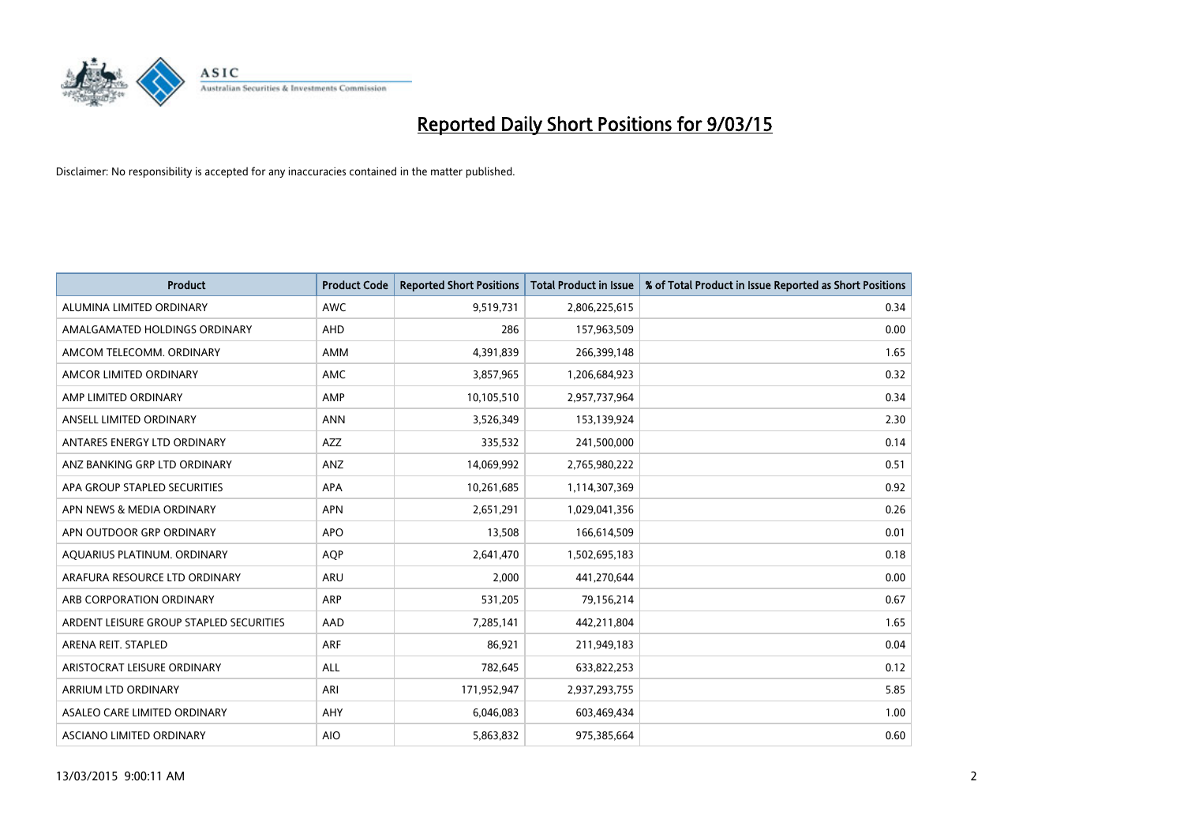

| <b>Product</b>                          | <b>Product Code</b> | <b>Reported Short Positions</b> | <b>Total Product in Issue</b> | % of Total Product in Issue Reported as Short Positions |
|-----------------------------------------|---------------------|---------------------------------|-------------------------------|---------------------------------------------------------|
| ALUMINA LIMITED ORDINARY                | <b>AWC</b>          | 9,519,731                       | 2,806,225,615                 | 0.34                                                    |
| AMALGAMATED HOLDINGS ORDINARY           | AHD                 | 286                             | 157,963,509                   | 0.00                                                    |
| AMCOM TELECOMM, ORDINARY                | AMM                 | 4,391,839                       | 266,399,148                   | 1.65                                                    |
| AMCOR LIMITED ORDINARY                  | AMC                 | 3,857,965                       | 1,206,684,923                 | 0.32                                                    |
| AMP LIMITED ORDINARY                    | AMP                 | 10,105,510                      | 2,957,737,964                 | 0.34                                                    |
| ANSELL LIMITED ORDINARY                 | <b>ANN</b>          | 3,526,349                       | 153,139,924                   | 2.30                                                    |
| ANTARES ENERGY LTD ORDINARY             | AZZ                 | 335,532                         | 241,500,000                   | 0.14                                                    |
| ANZ BANKING GRP LTD ORDINARY            | ANZ                 | 14,069,992                      | 2,765,980,222                 | 0.51                                                    |
| APA GROUP STAPLED SECURITIES            | <b>APA</b>          | 10,261,685                      | 1,114,307,369                 | 0.92                                                    |
| APN NEWS & MEDIA ORDINARY               | <b>APN</b>          | 2,651,291                       | 1,029,041,356                 | 0.26                                                    |
| APN OUTDOOR GRP ORDINARY                | <b>APO</b>          | 13,508                          | 166,614,509                   | 0.01                                                    |
| AQUARIUS PLATINUM. ORDINARY             | AQP                 | 2,641,470                       | 1,502,695,183                 | 0.18                                                    |
| ARAFURA RESOURCE LTD ORDINARY           | ARU                 | 2,000                           | 441,270,644                   | 0.00                                                    |
| ARB CORPORATION ORDINARY                | ARP                 | 531,205                         | 79,156,214                    | 0.67                                                    |
| ARDENT LEISURE GROUP STAPLED SECURITIES | AAD                 | 7,285,141                       | 442,211,804                   | 1.65                                                    |
| ARENA REIT. STAPLED                     | <b>ARF</b>          | 86,921                          | 211,949,183                   | 0.04                                                    |
| ARISTOCRAT LEISURE ORDINARY             | ALL                 | 782,645                         | 633,822,253                   | 0.12                                                    |
| ARRIUM LTD ORDINARY                     | ARI                 | 171,952,947                     | 2,937,293,755                 | 5.85                                                    |
| ASALEO CARE LIMITED ORDINARY            | AHY                 | 6,046,083                       | 603,469,434                   | 1.00                                                    |
| ASCIANO LIMITED ORDINARY                | <b>AIO</b>          | 5,863,832                       | 975,385,664                   | 0.60                                                    |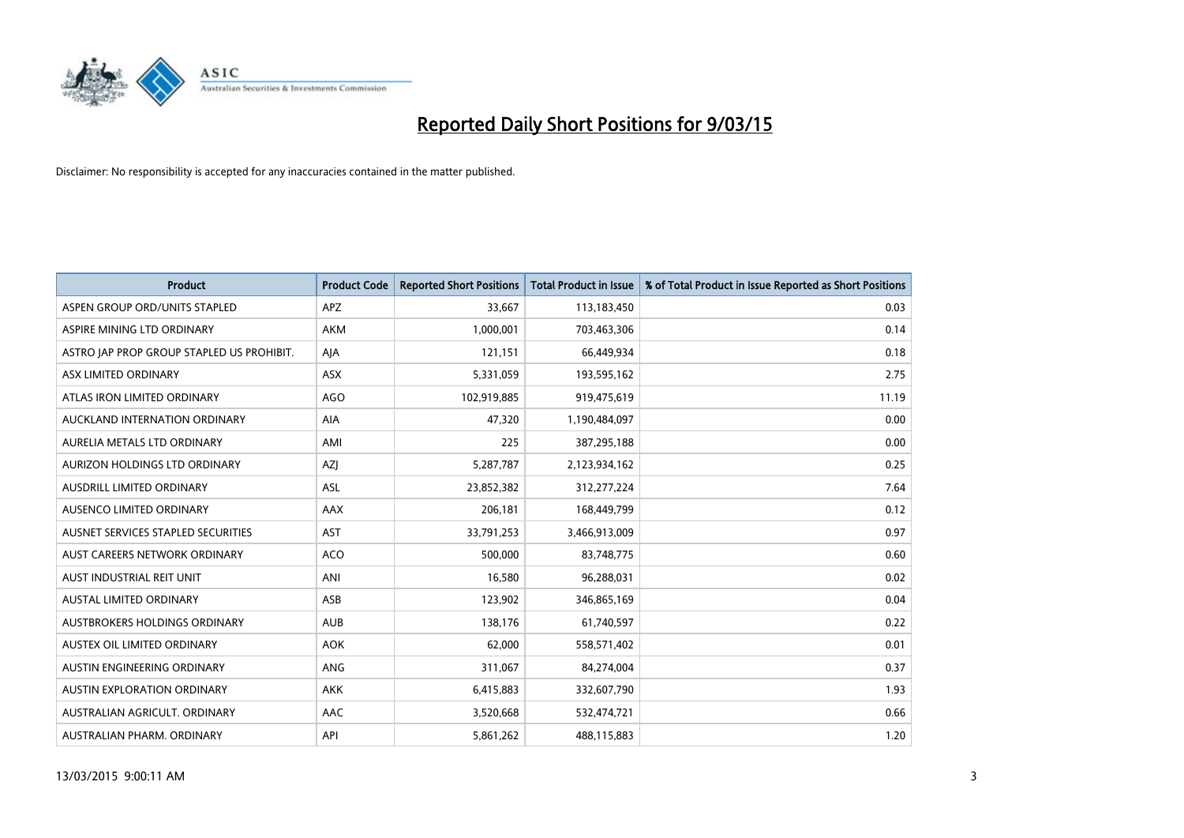

| <b>Product</b>                            | <b>Product Code</b> | <b>Reported Short Positions</b> | <b>Total Product in Issue</b> | % of Total Product in Issue Reported as Short Positions |
|-------------------------------------------|---------------------|---------------------------------|-------------------------------|---------------------------------------------------------|
| ASPEN GROUP ORD/UNITS STAPLED             | <b>APZ</b>          | 33,667                          | 113,183,450                   | 0.03                                                    |
| ASPIRE MINING LTD ORDINARY                | <b>AKM</b>          | 1,000,001                       | 703,463,306                   | 0.14                                                    |
| ASTRO JAP PROP GROUP STAPLED US PROHIBIT. | AJA                 | 121,151                         | 66,449,934                    | 0.18                                                    |
| ASX LIMITED ORDINARY                      | ASX                 | 5,331,059                       | 193,595,162                   | 2.75                                                    |
| ATLAS IRON LIMITED ORDINARY               | <b>AGO</b>          | 102,919,885                     | 919,475,619                   | 11.19                                                   |
| AUCKLAND INTERNATION ORDINARY             | <b>AIA</b>          | 47,320                          | 1,190,484,097                 | 0.00                                                    |
| AURELIA METALS LTD ORDINARY               | AMI                 | 225                             | 387,295,188                   | 0.00                                                    |
| AURIZON HOLDINGS LTD ORDINARY             | AZJ                 | 5,287,787                       | 2,123,934,162                 | 0.25                                                    |
| AUSDRILL LIMITED ORDINARY                 | <b>ASL</b>          | 23,852,382                      | 312,277,224                   | 7.64                                                    |
| AUSENCO LIMITED ORDINARY                  | AAX                 | 206,181                         | 168,449,799                   | 0.12                                                    |
| AUSNET SERVICES STAPLED SECURITIES        | <b>AST</b>          | 33,791,253                      | 3,466,913,009                 | 0.97                                                    |
| AUST CAREERS NETWORK ORDINARY             | <b>ACO</b>          | 500,000                         | 83,748,775                    | 0.60                                                    |
| AUST INDUSTRIAL REIT UNIT                 | ANI                 | 16,580                          | 96,288,031                    | 0.02                                                    |
| <b>AUSTAL LIMITED ORDINARY</b>            | ASB                 | 123,902                         | 346,865,169                   | 0.04                                                    |
| AUSTBROKERS HOLDINGS ORDINARY             | <b>AUB</b>          | 138,176                         | 61,740,597                    | 0.22                                                    |
| AUSTEX OIL LIMITED ORDINARY               | <b>AOK</b>          | 62,000                          | 558,571,402                   | 0.01                                                    |
| AUSTIN ENGINEERING ORDINARY               | ANG                 | 311,067                         | 84,274,004                    | 0.37                                                    |
| AUSTIN EXPLORATION ORDINARY               | <b>AKK</b>          | 6,415,883                       | 332,607,790                   | 1.93                                                    |
| AUSTRALIAN AGRICULT, ORDINARY             | AAC                 | 3,520,668                       | 532,474,721                   | 0.66                                                    |
| AUSTRALIAN PHARM. ORDINARY                | API                 | 5,861,262                       | 488,115,883                   | 1.20                                                    |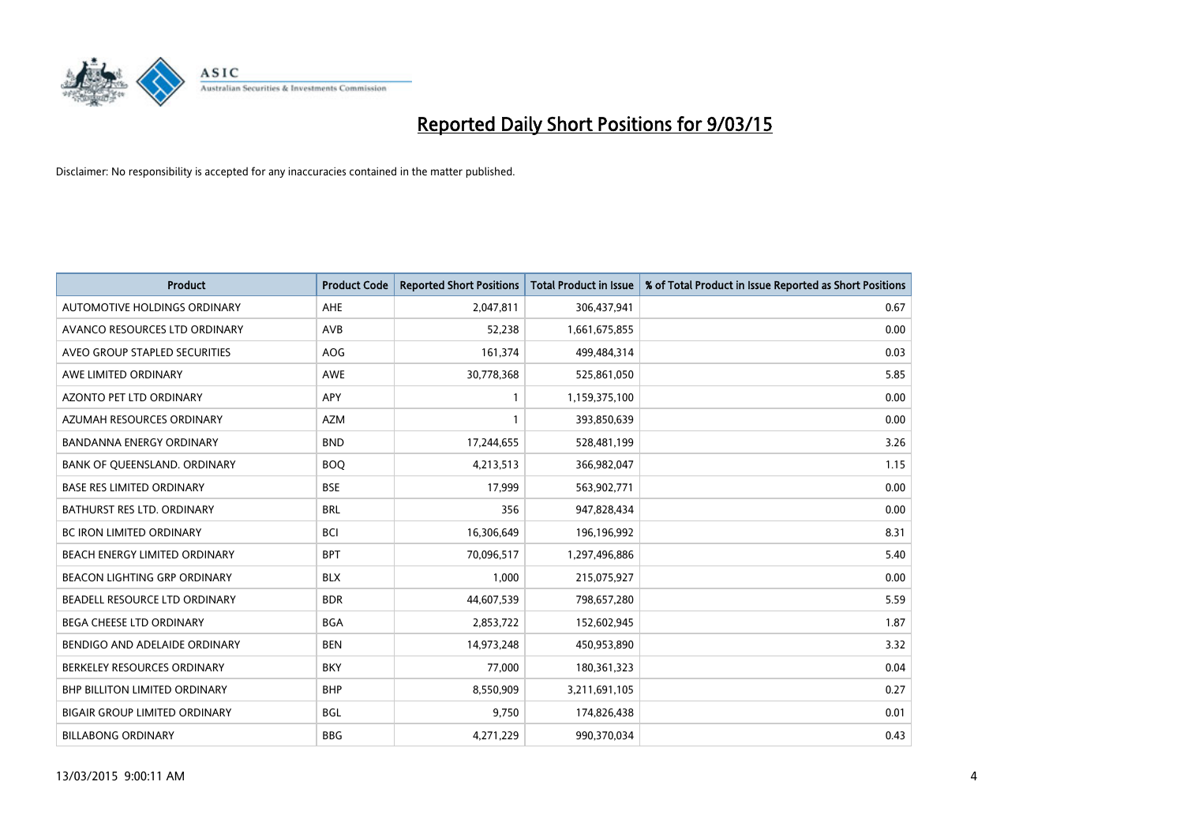

| <b>Product</b>                       | <b>Product Code</b> | <b>Reported Short Positions</b> | <b>Total Product in Issue</b> | % of Total Product in Issue Reported as Short Positions |
|--------------------------------------|---------------------|---------------------------------|-------------------------------|---------------------------------------------------------|
| AUTOMOTIVE HOLDINGS ORDINARY         | AHE                 | 2,047,811                       | 306,437,941                   | 0.67                                                    |
| AVANCO RESOURCES LTD ORDINARY        | AVB                 | 52,238                          | 1,661,675,855                 | 0.00                                                    |
| AVEO GROUP STAPLED SECURITIES        | <b>AOG</b>          | 161,374                         | 499,484,314                   | 0.03                                                    |
| AWE LIMITED ORDINARY                 | <b>AWE</b>          | 30,778,368                      | 525,861,050                   | 5.85                                                    |
| <b>AZONTO PET LTD ORDINARY</b>       | APY                 | 1                               | 1,159,375,100                 | 0.00                                                    |
| AZUMAH RESOURCES ORDINARY            | <b>AZM</b>          | $\mathbf{1}$                    | 393,850,639                   | 0.00                                                    |
| <b>BANDANNA ENERGY ORDINARY</b>      | <b>BND</b>          | 17,244,655                      | 528,481,199                   | 3.26                                                    |
| BANK OF QUEENSLAND. ORDINARY         | <b>BOO</b>          | 4,213,513                       | 366,982,047                   | 1.15                                                    |
| <b>BASE RES LIMITED ORDINARY</b>     | <b>BSE</b>          | 17,999                          | 563,902,771                   | 0.00                                                    |
| <b>BATHURST RES LTD. ORDINARY</b>    | <b>BRL</b>          | 356                             | 947,828,434                   | 0.00                                                    |
| BC IRON LIMITED ORDINARY             | <b>BCI</b>          | 16,306,649                      | 196,196,992                   | 8.31                                                    |
| BEACH ENERGY LIMITED ORDINARY        | <b>BPT</b>          | 70,096,517                      | 1,297,496,886                 | 5.40                                                    |
| BEACON LIGHTING GRP ORDINARY         | <b>BLX</b>          | 1,000                           | 215,075,927                   | 0.00                                                    |
| BEADELL RESOURCE LTD ORDINARY        | <b>BDR</b>          | 44,607,539                      | 798,657,280                   | 5.59                                                    |
| <b>BEGA CHEESE LTD ORDINARY</b>      | <b>BGA</b>          | 2,853,722                       | 152,602,945                   | 1.87                                                    |
| BENDIGO AND ADELAIDE ORDINARY        | <b>BEN</b>          | 14,973,248                      | 450,953,890                   | 3.32                                                    |
| BERKELEY RESOURCES ORDINARY          | <b>BKY</b>          | 77,000                          | 180,361,323                   | 0.04                                                    |
| <b>BHP BILLITON LIMITED ORDINARY</b> | <b>BHP</b>          | 8,550,909                       | 3,211,691,105                 | 0.27                                                    |
| <b>BIGAIR GROUP LIMITED ORDINARY</b> | <b>BGL</b>          | 9,750                           | 174,826,438                   | 0.01                                                    |
| <b>BILLABONG ORDINARY</b>            | <b>BBG</b>          | 4,271,229                       | 990,370,034                   | 0.43                                                    |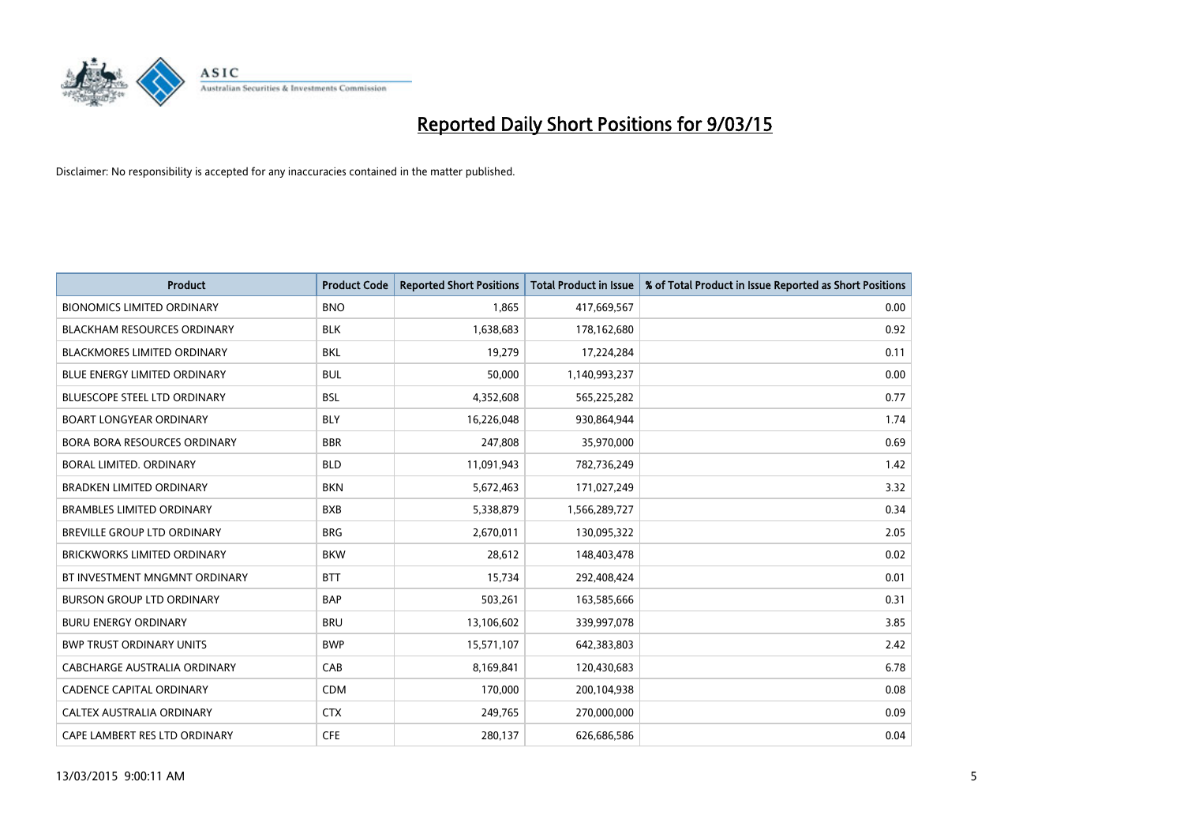

| <b>Product</b>                      | <b>Product Code</b> | <b>Reported Short Positions</b> | <b>Total Product in Issue</b> | % of Total Product in Issue Reported as Short Positions |
|-------------------------------------|---------------------|---------------------------------|-------------------------------|---------------------------------------------------------|
| <b>BIONOMICS LIMITED ORDINARY</b>   | <b>BNO</b>          | 1,865                           | 417,669,567                   | 0.00                                                    |
| <b>BLACKHAM RESOURCES ORDINARY</b>  | <b>BLK</b>          | 1,638,683                       | 178,162,680                   | 0.92                                                    |
| <b>BLACKMORES LIMITED ORDINARY</b>  | <b>BKL</b>          | 19,279                          | 17,224,284                    | 0.11                                                    |
| <b>BLUE ENERGY LIMITED ORDINARY</b> | <b>BUL</b>          | 50,000                          | 1,140,993,237                 | 0.00                                                    |
| <b>BLUESCOPE STEEL LTD ORDINARY</b> | <b>BSL</b>          | 4,352,608                       | 565,225,282                   | 0.77                                                    |
| <b>BOART LONGYEAR ORDINARY</b>      | <b>BLY</b>          | 16,226,048                      | 930,864,944                   | 1.74                                                    |
| <b>BORA BORA RESOURCES ORDINARY</b> | <b>BBR</b>          | 247,808                         | 35,970,000                    | 0.69                                                    |
| BORAL LIMITED, ORDINARY             | <b>BLD</b>          | 11,091,943                      | 782,736,249                   | 1.42                                                    |
| <b>BRADKEN LIMITED ORDINARY</b>     | <b>BKN</b>          | 5,672,463                       | 171,027,249                   | 3.32                                                    |
| <b>BRAMBLES LIMITED ORDINARY</b>    | <b>BXB</b>          | 5,338,879                       | 1,566,289,727                 | 0.34                                                    |
| BREVILLE GROUP LTD ORDINARY         | <b>BRG</b>          | 2,670,011                       | 130,095,322                   | 2.05                                                    |
| <b>BRICKWORKS LIMITED ORDINARY</b>  | <b>BKW</b>          | 28,612                          | 148,403,478                   | 0.02                                                    |
| BT INVESTMENT MNGMNT ORDINARY       | <b>BTT</b>          | 15,734                          | 292,408,424                   | 0.01                                                    |
| <b>BURSON GROUP LTD ORDINARY</b>    | <b>BAP</b>          | 503,261                         | 163,585,666                   | 0.31                                                    |
| <b>BURU ENERGY ORDINARY</b>         | <b>BRU</b>          | 13,106,602                      | 339,997,078                   | 3.85                                                    |
| <b>BWP TRUST ORDINARY UNITS</b>     | <b>BWP</b>          | 15,571,107                      | 642,383,803                   | 2.42                                                    |
| CABCHARGE AUSTRALIA ORDINARY        | CAB                 | 8,169,841                       | 120,430,683                   | 6.78                                                    |
| CADENCE CAPITAL ORDINARY            | <b>CDM</b>          | 170,000                         | 200,104,938                   | 0.08                                                    |
| CALTEX AUSTRALIA ORDINARY           | <b>CTX</b>          | 249,765                         | 270,000,000                   | 0.09                                                    |
| CAPE LAMBERT RES LTD ORDINARY       | <b>CFE</b>          | 280,137                         | 626,686,586                   | 0.04                                                    |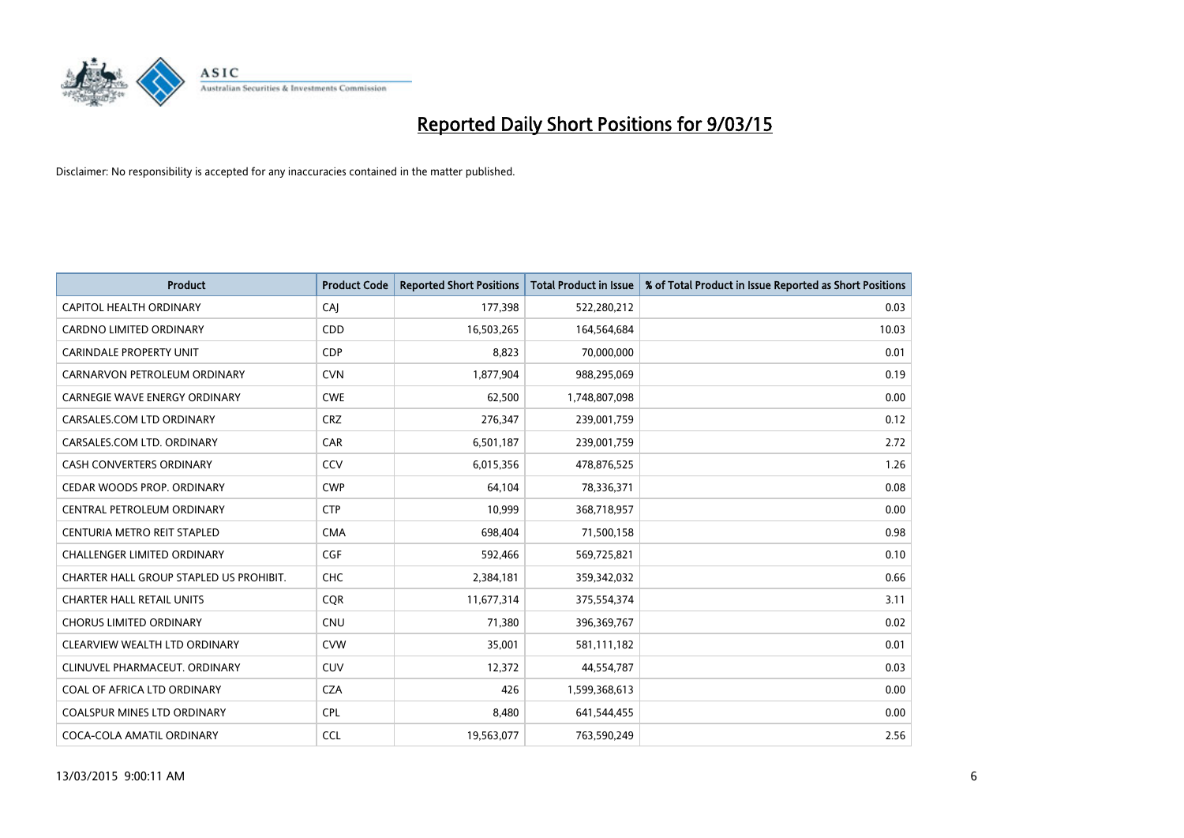

| <b>Product</b>                          | <b>Product Code</b> | <b>Reported Short Positions</b> | <b>Total Product in Issue</b> | % of Total Product in Issue Reported as Short Positions |
|-----------------------------------------|---------------------|---------------------------------|-------------------------------|---------------------------------------------------------|
| <b>CAPITOL HEALTH ORDINARY</b>          | CAJ                 | 177,398                         | 522,280,212                   | 0.03                                                    |
| CARDNO LIMITED ORDINARY                 | CDD                 | 16,503,265                      | 164,564,684                   | 10.03                                                   |
| <b>CARINDALE PROPERTY UNIT</b>          | <b>CDP</b>          | 8,823                           | 70,000,000                    | 0.01                                                    |
| CARNARVON PETROLEUM ORDINARY            | <b>CVN</b>          | 1,877,904                       | 988,295,069                   | 0.19                                                    |
| <b>CARNEGIE WAVE ENERGY ORDINARY</b>    | <b>CWE</b>          | 62,500                          | 1,748,807,098                 | 0.00                                                    |
| CARSALES.COM LTD ORDINARY               | <b>CRZ</b>          | 276,347                         | 239,001,759                   | 0.12                                                    |
| CARSALES.COM LTD. ORDINARY              | <b>CAR</b>          | 6,501,187                       | 239,001,759                   | 2.72                                                    |
| CASH CONVERTERS ORDINARY                | CCV                 | 6,015,356                       | 478,876,525                   | 1.26                                                    |
| CEDAR WOODS PROP. ORDINARY              | <b>CWP</b>          | 64,104                          | 78,336,371                    | 0.08                                                    |
| CENTRAL PETROLEUM ORDINARY              | <b>CTP</b>          | 10,999                          | 368,718,957                   | 0.00                                                    |
| CENTURIA METRO REIT STAPLED             | <b>CMA</b>          | 698,404                         | 71,500,158                    | 0.98                                                    |
| CHALLENGER LIMITED ORDINARY             | <b>CGF</b>          | 592,466                         | 569,725,821                   | 0.10                                                    |
| CHARTER HALL GROUP STAPLED US PROHIBIT. | <b>CHC</b>          | 2,384,181                       | 359,342,032                   | 0.66                                                    |
| <b>CHARTER HALL RETAIL UNITS</b>        | <b>COR</b>          | 11,677,314                      | 375,554,374                   | 3.11                                                    |
| <b>CHORUS LIMITED ORDINARY</b>          | <b>CNU</b>          | 71,380                          | 396,369,767                   | 0.02                                                    |
| CLEARVIEW WEALTH LTD ORDINARY           | <b>CVW</b>          | 35,001                          | 581,111,182                   | 0.01                                                    |
| CLINUVEL PHARMACEUT. ORDINARY           | <b>CUV</b>          | 12,372                          | 44,554,787                    | 0.03                                                    |
| COAL OF AFRICA LTD ORDINARY             | <b>CZA</b>          | 426                             | 1,599,368,613                 | 0.00                                                    |
| <b>COALSPUR MINES LTD ORDINARY</b>      | <b>CPL</b>          | 8,480                           | 641,544,455                   | 0.00                                                    |
| COCA-COLA AMATIL ORDINARY               | <b>CCL</b>          | 19,563,077                      | 763,590,249                   | 2.56                                                    |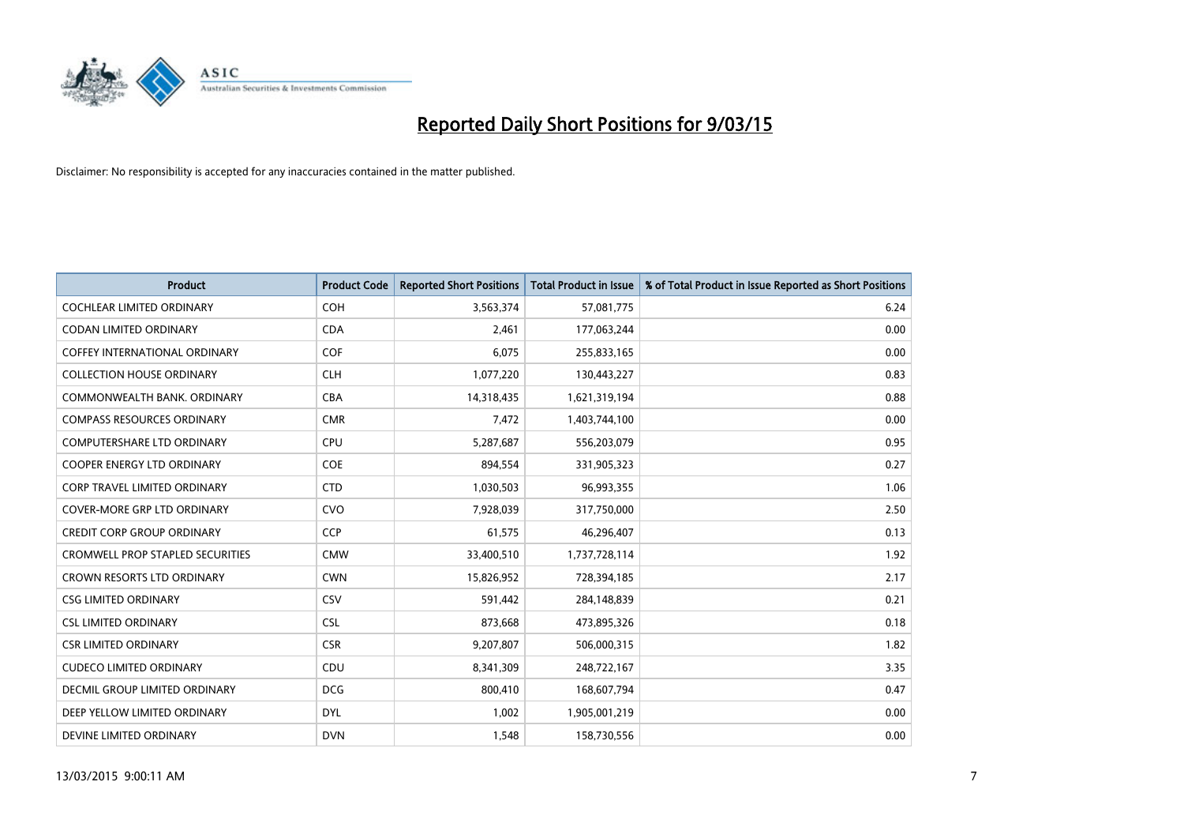

| <b>Product</b>                          | <b>Product Code</b> | <b>Reported Short Positions</b> | <b>Total Product in Issue</b> | % of Total Product in Issue Reported as Short Positions |
|-----------------------------------------|---------------------|---------------------------------|-------------------------------|---------------------------------------------------------|
| <b>COCHLEAR LIMITED ORDINARY</b>        | <b>COH</b>          | 3,563,374                       | 57,081,775                    | 6.24                                                    |
| CODAN LIMITED ORDINARY                  | <b>CDA</b>          | 2,461                           | 177,063,244                   | 0.00                                                    |
| <b>COFFEY INTERNATIONAL ORDINARY</b>    | <b>COF</b>          | 6,075                           | 255,833,165                   | 0.00                                                    |
| <b>COLLECTION HOUSE ORDINARY</b>        | <b>CLH</b>          | 1,077,220                       | 130,443,227                   | 0.83                                                    |
| COMMONWEALTH BANK, ORDINARY             | <b>CBA</b>          | 14,318,435                      | 1,621,319,194                 | 0.88                                                    |
| <b>COMPASS RESOURCES ORDINARY</b>       | <b>CMR</b>          | 7,472                           | 1,403,744,100                 | 0.00                                                    |
| <b>COMPUTERSHARE LTD ORDINARY</b>       | <b>CPU</b>          | 5,287,687                       | 556,203,079                   | 0.95                                                    |
| COOPER ENERGY LTD ORDINARY              | <b>COE</b>          | 894,554                         | 331,905,323                   | 0.27                                                    |
| <b>CORP TRAVEL LIMITED ORDINARY</b>     | <b>CTD</b>          | 1,030,503                       | 96,993,355                    | 1.06                                                    |
| <b>COVER-MORE GRP LTD ORDINARY</b>      | <b>CVO</b>          | 7,928,039                       | 317,750,000                   | 2.50                                                    |
| <b>CREDIT CORP GROUP ORDINARY</b>       | <b>CCP</b>          | 61,575                          | 46,296,407                    | 0.13                                                    |
| <b>CROMWELL PROP STAPLED SECURITIES</b> | <b>CMW</b>          | 33,400,510                      | 1,737,728,114                 | 1.92                                                    |
| CROWN RESORTS LTD ORDINARY              | <b>CWN</b>          | 15,826,952                      | 728,394,185                   | 2.17                                                    |
| <b>CSG LIMITED ORDINARY</b>             | CSV                 | 591,442                         | 284,148,839                   | 0.21                                                    |
| <b>CSL LIMITED ORDINARY</b>             | <b>CSL</b>          | 873,668                         | 473,895,326                   | 0.18                                                    |
| <b>CSR LIMITED ORDINARY</b>             | <b>CSR</b>          | 9,207,807                       | 506,000,315                   | 1.82                                                    |
| <b>CUDECO LIMITED ORDINARY</b>          | CDU                 | 8,341,309                       | 248,722,167                   | 3.35                                                    |
| DECMIL GROUP LIMITED ORDINARY           | <b>DCG</b>          | 800,410                         | 168,607,794                   | 0.47                                                    |
| DEEP YELLOW LIMITED ORDINARY            | <b>DYL</b>          | 1,002                           | 1,905,001,219                 | 0.00                                                    |
| DEVINE LIMITED ORDINARY                 | <b>DVN</b>          | 1,548                           | 158,730,556                   | 0.00                                                    |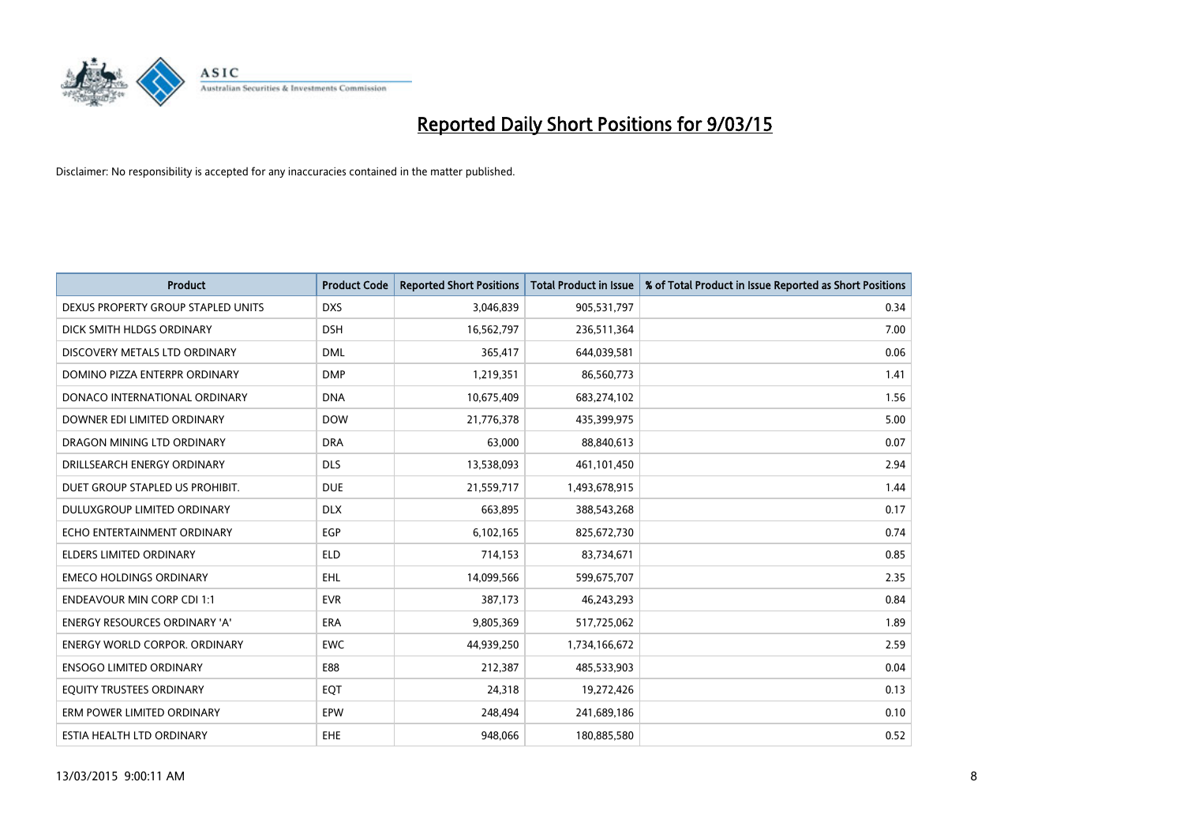

| <b>Product</b>                       | <b>Product Code</b> | <b>Reported Short Positions</b> | <b>Total Product in Issue</b> | % of Total Product in Issue Reported as Short Positions |
|--------------------------------------|---------------------|---------------------------------|-------------------------------|---------------------------------------------------------|
| DEXUS PROPERTY GROUP STAPLED UNITS   | <b>DXS</b>          | 3,046,839                       | 905,531,797                   | 0.34                                                    |
| DICK SMITH HLDGS ORDINARY            | <b>DSH</b>          | 16,562,797                      | 236,511,364                   | 7.00                                                    |
| DISCOVERY METALS LTD ORDINARY        | <b>DML</b>          | 365,417                         | 644,039,581                   | 0.06                                                    |
| DOMINO PIZZA ENTERPR ORDINARY        | <b>DMP</b>          | 1,219,351                       | 86,560,773                    | 1.41                                                    |
| DONACO INTERNATIONAL ORDINARY        | <b>DNA</b>          | 10,675,409                      | 683,274,102                   | 1.56                                                    |
| DOWNER EDI LIMITED ORDINARY          | <b>DOW</b>          | 21,776,378                      | 435,399,975                   | 5.00                                                    |
| DRAGON MINING LTD ORDINARY           | <b>DRA</b>          | 63,000                          | 88,840,613                    | 0.07                                                    |
| DRILLSEARCH ENERGY ORDINARY          | <b>DLS</b>          | 13,538,093                      | 461,101,450                   | 2.94                                                    |
| DUET GROUP STAPLED US PROHIBIT.      | <b>DUE</b>          | 21,559,717                      | 1,493,678,915                 | 1.44                                                    |
| DULUXGROUP LIMITED ORDINARY          | <b>DLX</b>          | 663,895                         | 388,543,268                   | 0.17                                                    |
| ECHO ENTERTAINMENT ORDINARY          | <b>EGP</b>          | 6,102,165                       | 825,672,730                   | 0.74                                                    |
| ELDERS LIMITED ORDINARY              | <b>ELD</b>          | 714,153                         | 83,734,671                    | 0.85                                                    |
| <b>EMECO HOLDINGS ORDINARY</b>       | <b>EHL</b>          | 14,099,566                      | 599,675,707                   | 2.35                                                    |
| <b>ENDEAVOUR MIN CORP CDI 1:1</b>    | <b>EVR</b>          | 387,173                         | 46,243,293                    | 0.84                                                    |
| <b>ENERGY RESOURCES ORDINARY 'A'</b> | <b>ERA</b>          | 9,805,369                       | 517,725,062                   | 1.89                                                    |
| <b>ENERGY WORLD CORPOR. ORDINARY</b> | <b>EWC</b>          | 44,939,250                      | 1,734,166,672                 | 2.59                                                    |
| <b>ENSOGO LIMITED ORDINARY</b>       | E88                 | 212,387                         | 485,533,903                   | 0.04                                                    |
| EQUITY TRUSTEES ORDINARY             | EQT                 | 24,318                          | 19,272,426                    | 0.13                                                    |
| ERM POWER LIMITED ORDINARY           | EPW                 | 248,494                         | 241,689,186                   | 0.10                                                    |
| ESTIA HEALTH LTD ORDINARY            | <b>EHE</b>          | 948,066                         | 180,885,580                   | 0.52                                                    |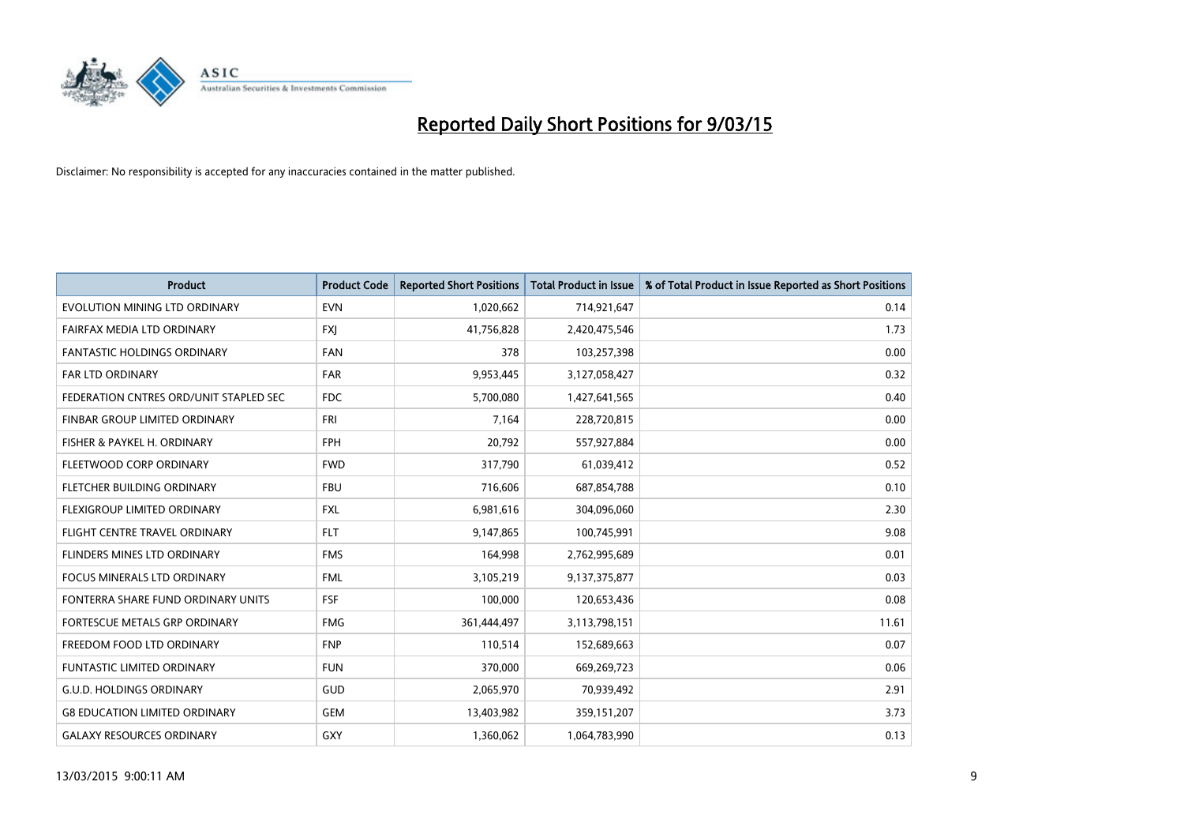

| <b>Product</b>                         | <b>Product Code</b> | <b>Reported Short Positions</b> | <b>Total Product in Issue</b> | % of Total Product in Issue Reported as Short Positions |
|----------------------------------------|---------------------|---------------------------------|-------------------------------|---------------------------------------------------------|
| EVOLUTION MINING LTD ORDINARY          | <b>EVN</b>          | 1,020,662                       | 714,921,647                   | 0.14                                                    |
| FAIRFAX MEDIA LTD ORDINARY             | <b>FXJ</b>          | 41,756,828                      | 2,420,475,546                 | 1.73                                                    |
| <b>FANTASTIC HOLDINGS ORDINARY</b>     | <b>FAN</b>          | 378                             | 103,257,398                   | 0.00                                                    |
| <b>FAR LTD ORDINARY</b>                | <b>FAR</b>          | 9,953,445                       | 3,127,058,427                 | 0.32                                                    |
| FEDERATION CNTRES ORD/UNIT STAPLED SEC | <b>FDC</b>          | 5,700,080                       | 1,427,641,565                 | 0.40                                                    |
| FINBAR GROUP LIMITED ORDINARY          | <b>FRI</b>          | 7,164                           | 228,720,815                   | 0.00                                                    |
| FISHER & PAYKEL H. ORDINARY            | <b>FPH</b>          | 20,792                          | 557,927,884                   | 0.00                                                    |
| FLEETWOOD CORP ORDINARY                | <b>FWD</b>          | 317,790                         | 61,039,412                    | 0.52                                                    |
| FLETCHER BUILDING ORDINARY             | <b>FBU</b>          | 716,606                         | 687,854,788                   | 0.10                                                    |
| FLEXIGROUP LIMITED ORDINARY            | <b>FXL</b>          | 6,981,616                       | 304,096,060                   | 2.30                                                    |
| FLIGHT CENTRE TRAVEL ORDINARY          | <b>FLT</b>          | 9,147,865                       | 100,745,991                   | 9.08                                                    |
| FLINDERS MINES LTD ORDINARY            | <b>FMS</b>          | 164,998                         | 2,762,995,689                 | 0.01                                                    |
| <b>FOCUS MINERALS LTD ORDINARY</b>     | <b>FML</b>          | 3,105,219                       | 9,137,375,877                 | 0.03                                                    |
| FONTERRA SHARE FUND ORDINARY UNITS     | <b>FSF</b>          | 100,000                         | 120,653,436                   | 0.08                                                    |
| FORTESCUE METALS GRP ORDINARY          | <b>FMG</b>          | 361,444,497                     | 3,113,798,151                 | 11.61                                                   |
| FREEDOM FOOD LTD ORDINARY              | <b>FNP</b>          | 110,514                         | 152,689,663                   | 0.07                                                    |
| <b>FUNTASTIC LIMITED ORDINARY</b>      | <b>FUN</b>          | 370,000                         | 669,269,723                   | 0.06                                                    |
| <b>G.U.D. HOLDINGS ORDINARY</b>        | GUD                 | 2,065,970                       | 70,939,492                    | 2.91                                                    |
| <b>G8 EDUCATION LIMITED ORDINARY</b>   | <b>GEM</b>          | 13,403,982                      | 359,151,207                   | 3.73                                                    |
| <b>GALAXY RESOURCES ORDINARY</b>       | GXY                 | 1,360,062                       | 1,064,783,990                 | 0.13                                                    |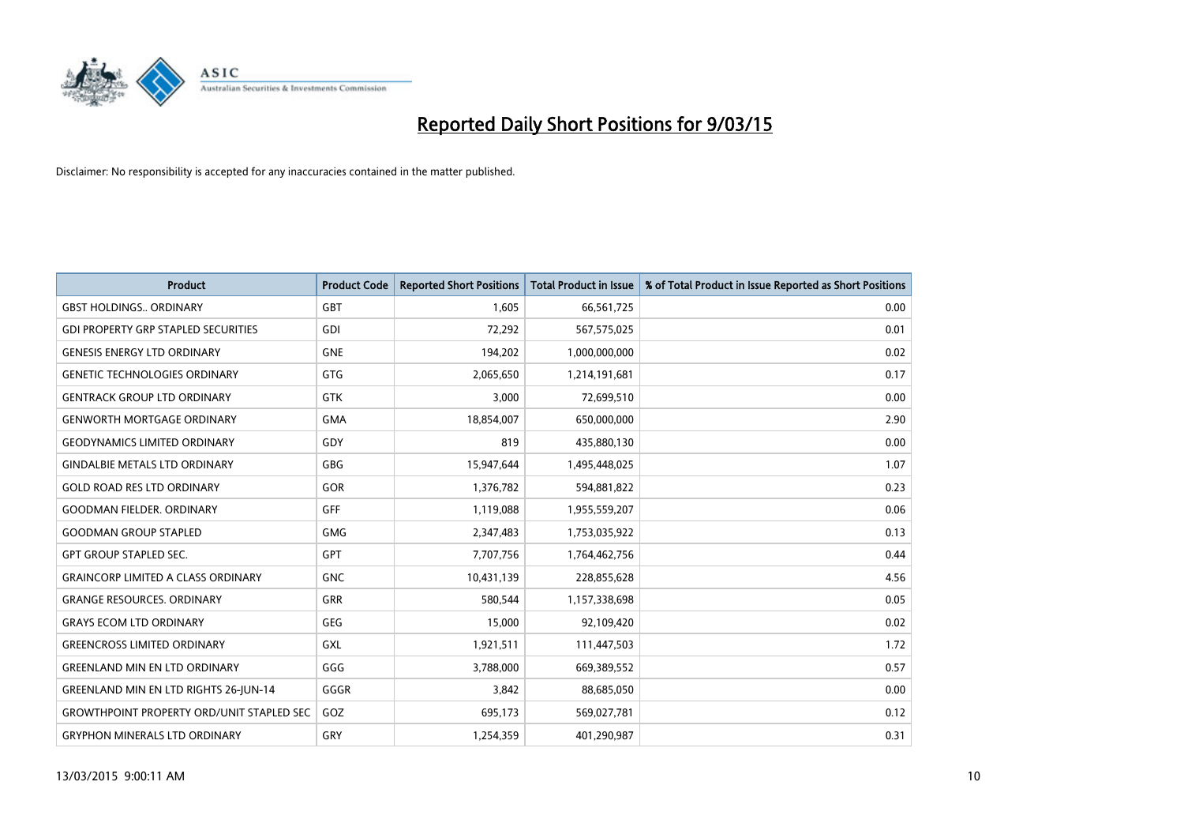

| <b>Product</b>                                   | <b>Product Code</b> | <b>Reported Short Positions</b> | <b>Total Product in Issue</b> | % of Total Product in Issue Reported as Short Positions |
|--------------------------------------------------|---------------------|---------------------------------|-------------------------------|---------------------------------------------------------|
| <b>GBST HOLDINGS., ORDINARY</b>                  | GBT                 | 1.605                           | 66,561,725                    | 0.00                                                    |
| <b>GDI PROPERTY GRP STAPLED SECURITIES</b>       | <b>GDI</b>          | 72,292                          | 567,575,025                   | 0.01                                                    |
| <b>GENESIS ENERGY LTD ORDINARY</b>               | <b>GNE</b>          | 194,202                         | 1,000,000,000                 | 0.02                                                    |
| <b>GENETIC TECHNOLOGIES ORDINARY</b>             | <b>GTG</b>          | 2,065,650                       | 1,214,191,681                 | 0.17                                                    |
| <b>GENTRACK GROUP LTD ORDINARY</b>               | <b>GTK</b>          | 3,000                           | 72,699,510                    | 0.00                                                    |
| <b>GENWORTH MORTGAGE ORDINARY</b>                | <b>GMA</b>          | 18,854,007                      | 650,000,000                   | 2.90                                                    |
| <b>GEODYNAMICS LIMITED ORDINARY</b>              | GDY                 | 819                             | 435,880,130                   | 0.00                                                    |
| <b>GINDALBIE METALS LTD ORDINARY</b>             | <b>GBG</b>          | 15,947,644                      | 1,495,448,025                 | 1.07                                                    |
| <b>GOLD ROAD RES LTD ORDINARY</b>                | <b>GOR</b>          | 1,376,782                       | 594,881,822                   | 0.23                                                    |
| <b>GOODMAN FIELDER, ORDINARY</b>                 | <b>GFF</b>          | 1,119,088                       | 1,955,559,207                 | 0.06                                                    |
| <b>GOODMAN GROUP STAPLED</b>                     | <b>GMG</b>          | 2,347,483                       | 1,753,035,922                 | 0.13                                                    |
| <b>GPT GROUP STAPLED SEC.</b>                    | GPT                 | 7,707,756                       | 1,764,462,756                 | 0.44                                                    |
| <b>GRAINCORP LIMITED A CLASS ORDINARY</b>        | <b>GNC</b>          | 10,431,139                      | 228,855,628                   | 4.56                                                    |
| <b>GRANGE RESOURCES, ORDINARY</b>                | GRR                 | 580,544                         | 1,157,338,698                 | 0.05                                                    |
| <b>GRAYS ECOM LTD ORDINARY</b>                   | <b>GEG</b>          | 15,000                          | 92,109,420                    | 0.02                                                    |
| <b>GREENCROSS LIMITED ORDINARY</b>               | GXL                 | 1,921,511                       | 111,447,503                   | 1.72                                                    |
| <b>GREENLAND MIN EN LTD ORDINARY</b>             | GGG                 | 3,788,000                       | 669,389,552                   | 0.57                                                    |
| GREENLAND MIN EN LTD RIGHTS 26-JUN-14            | GGGR                | 3,842                           | 88,685,050                    | 0.00                                                    |
| <b>GROWTHPOINT PROPERTY ORD/UNIT STAPLED SEC</b> | GOZ                 | 695,173                         | 569,027,781                   | 0.12                                                    |
| <b>GRYPHON MINERALS LTD ORDINARY</b>             | GRY                 | 1,254,359                       | 401,290,987                   | 0.31                                                    |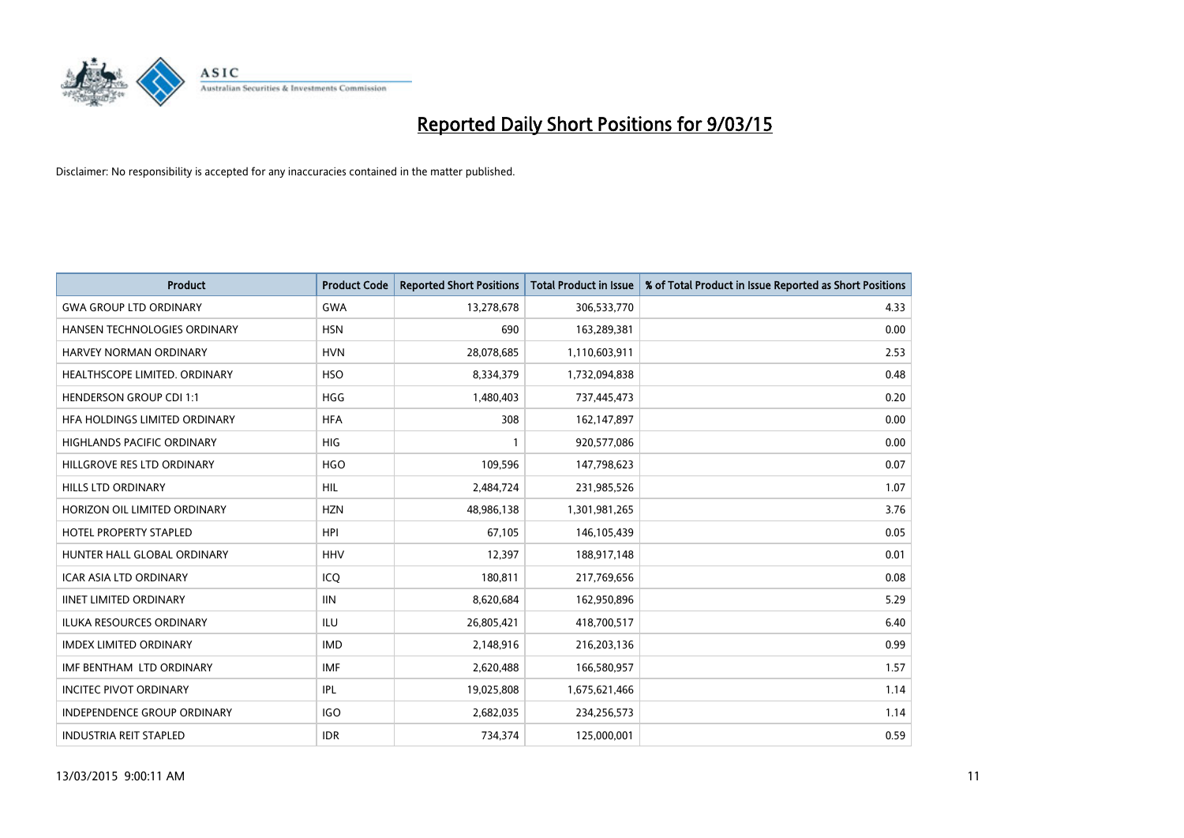

| <b>Product</b>                     | <b>Product Code</b> | <b>Reported Short Positions</b> | <b>Total Product in Issue</b> | % of Total Product in Issue Reported as Short Positions |
|------------------------------------|---------------------|---------------------------------|-------------------------------|---------------------------------------------------------|
| <b>GWA GROUP LTD ORDINARY</b>      | <b>GWA</b>          | 13,278,678                      | 306,533,770                   | 4.33                                                    |
| HANSEN TECHNOLOGIES ORDINARY       | <b>HSN</b>          | 690                             | 163,289,381                   | 0.00                                                    |
| HARVEY NORMAN ORDINARY             | <b>HVN</b>          | 28,078,685                      | 1,110,603,911                 | 2.53                                                    |
| HEALTHSCOPE LIMITED. ORDINARY      | <b>HSO</b>          | 8,334,379                       | 1,732,094,838                 | 0.48                                                    |
| <b>HENDERSON GROUP CDI 1:1</b>     | <b>HGG</b>          | 1,480,403                       | 737,445,473                   | 0.20                                                    |
| HFA HOLDINGS LIMITED ORDINARY      | <b>HFA</b>          | 308                             | 162,147,897                   | 0.00                                                    |
| <b>HIGHLANDS PACIFIC ORDINARY</b>  | <b>HIG</b>          |                                 | 920,577,086                   | 0.00                                                    |
| HILLGROVE RES LTD ORDINARY         | <b>HGO</b>          | 109,596                         | 147,798,623                   | 0.07                                                    |
| <b>HILLS LTD ORDINARY</b>          | HIL.                | 2,484,724                       | 231,985,526                   | 1.07                                                    |
| HORIZON OIL LIMITED ORDINARY       | <b>HZN</b>          | 48,986,138                      | 1,301,981,265                 | 3.76                                                    |
| HOTEL PROPERTY STAPLED             | <b>HPI</b>          | 67,105                          | 146,105,439                   | 0.05                                                    |
| HUNTER HALL GLOBAL ORDINARY        | <b>HHV</b>          | 12,397                          | 188,917,148                   | 0.01                                                    |
| ICAR ASIA LTD ORDINARY             | ICO                 | 180,811                         | 217,769,656                   | 0.08                                                    |
| <b>IINET LIMITED ORDINARY</b>      | <b>IIN</b>          | 8,620,684                       | 162,950,896                   | 5.29                                                    |
| <b>ILUKA RESOURCES ORDINARY</b>    | <b>ILU</b>          | 26,805,421                      | 418,700,517                   | 6.40                                                    |
| <b>IMDEX LIMITED ORDINARY</b>      | <b>IMD</b>          | 2,148,916                       | 216,203,136                   | 0.99                                                    |
| IMF BENTHAM LTD ORDINARY           | IMF                 | 2,620,488                       | 166,580,957                   | 1.57                                                    |
| <b>INCITEC PIVOT ORDINARY</b>      | IPL                 | 19,025,808                      | 1,675,621,466                 | 1.14                                                    |
| <b>INDEPENDENCE GROUP ORDINARY</b> | <b>IGO</b>          | 2,682,035                       | 234,256,573                   | 1.14                                                    |
| <b>INDUSTRIA REIT STAPLED</b>      | <b>IDR</b>          | 734,374                         | 125,000,001                   | 0.59                                                    |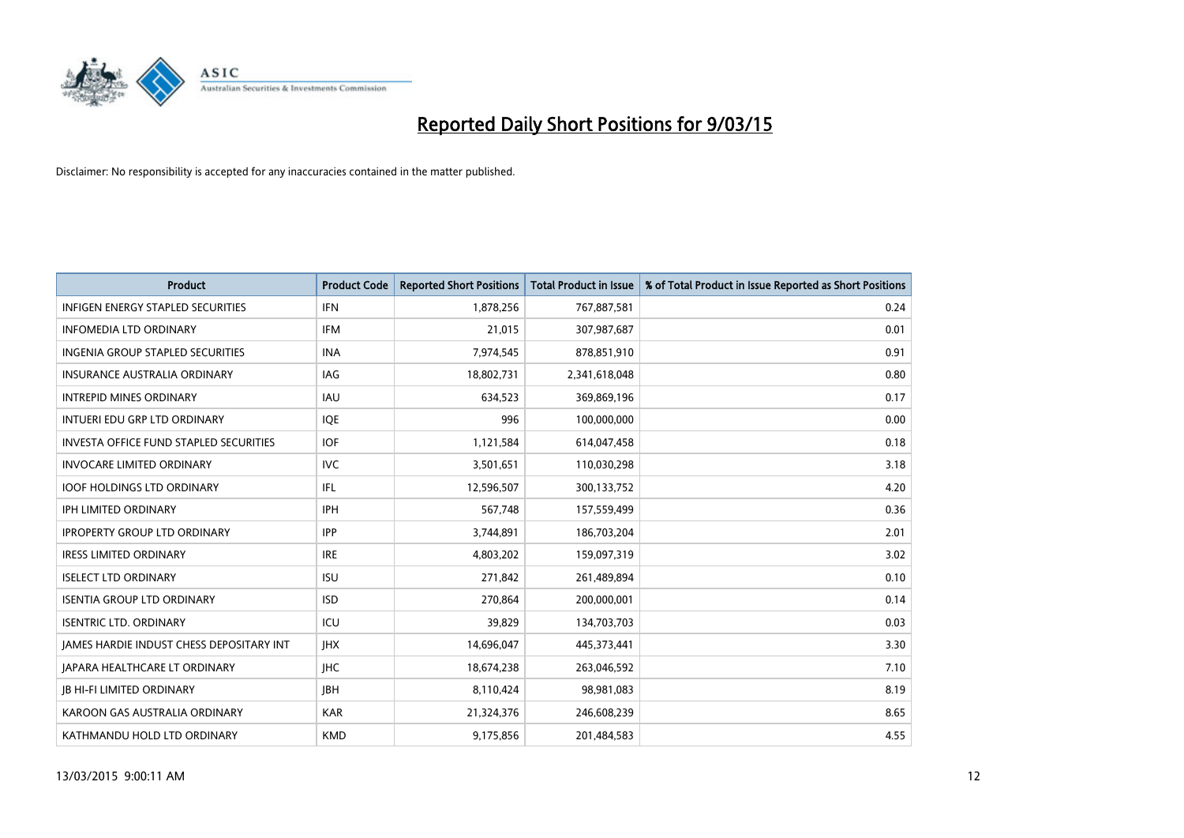

| <b>Product</b>                                | <b>Product Code</b> | <b>Reported Short Positions</b> | <b>Total Product in Issue</b> | % of Total Product in Issue Reported as Short Positions |
|-----------------------------------------------|---------------------|---------------------------------|-------------------------------|---------------------------------------------------------|
| <b>INFIGEN ENERGY STAPLED SECURITIES</b>      | <b>IFN</b>          | 1,878,256                       | 767,887,581                   | 0.24                                                    |
| <b>INFOMEDIA LTD ORDINARY</b>                 | <b>IFM</b>          | 21,015                          | 307,987,687                   | 0.01                                                    |
| <b>INGENIA GROUP STAPLED SECURITIES</b>       | <b>INA</b>          | 7,974,545                       | 878,851,910                   | 0.91                                                    |
| INSURANCE AUSTRALIA ORDINARY                  | IAG                 | 18,802,731                      | 2,341,618,048                 | 0.80                                                    |
| <b>INTREPID MINES ORDINARY</b>                | IAU                 | 634,523                         | 369,869,196                   | 0.17                                                    |
| INTUERI EDU GRP LTD ORDINARY                  | <b>IOE</b>          | 996                             | 100,000,000                   | 0.00                                                    |
| <b>INVESTA OFFICE FUND STAPLED SECURITIES</b> | <b>IOF</b>          | 1,121,584                       | 614,047,458                   | 0.18                                                    |
| <b>INVOCARE LIMITED ORDINARY</b>              | <b>IVC</b>          | 3,501,651                       | 110,030,298                   | 3.18                                                    |
| <b>IOOF HOLDINGS LTD ORDINARY</b>             | IFL                 | 12,596,507                      | 300,133,752                   | 4.20                                                    |
| <b>IPH LIMITED ORDINARY</b>                   | IPH                 | 567,748                         | 157,559,499                   | 0.36                                                    |
| <b>IPROPERTY GROUP LTD ORDINARY</b>           | <b>IPP</b>          | 3,744,891                       | 186,703,204                   | 2.01                                                    |
| <b>IRESS LIMITED ORDINARY</b>                 | <b>IRE</b>          | 4,803,202                       | 159,097,319                   | 3.02                                                    |
| <b>ISELECT LTD ORDINARY</b>                   | <b>ISU</b>          | 271,842                         | 261,489,894                   | 0.10                                                    |
| <b>ISENTIA GROUP LTD ORDINARY</b>             | <b>ISD</b>          | 270,864                         | 200,000,001                   | 0.14                                                    |
| <b>ISENTRIC LTD. ORDINARY</b>                 | ICU                 | 39,829                          | 134,703,703                   | 0.03                                                    |
| JAMES HARDIE INDUST CHESS DEPOSITARY INT      | <b>IHX</b>          | 14,696,047                      | 445,373,441                   | 3.30                                                    |
| <b>JAPARA HEALTHCARE LT ORDINARY</b>          | <b>IHC</b>          | 18,674,238                      | 263,046,592                   | 7.10                                                    |
| <b>IB HI-FI LIMITED ORDINARY</b>              | <b>JBH</b>          | 8,110,424                       | 98,981,083                    | 8.19                                                    |
| KAROON GAS AUSTRALIA ORDINARY                 | <b>KAR</b>          | 21,324,376                      | 246,608,239                   | 8.65                                                    |
| KATHMANDU HOLD LTD ORDINARY                   | <b>KMD</b>          | 9,175,856                       | 201,484,583                   | 4.55                                                    |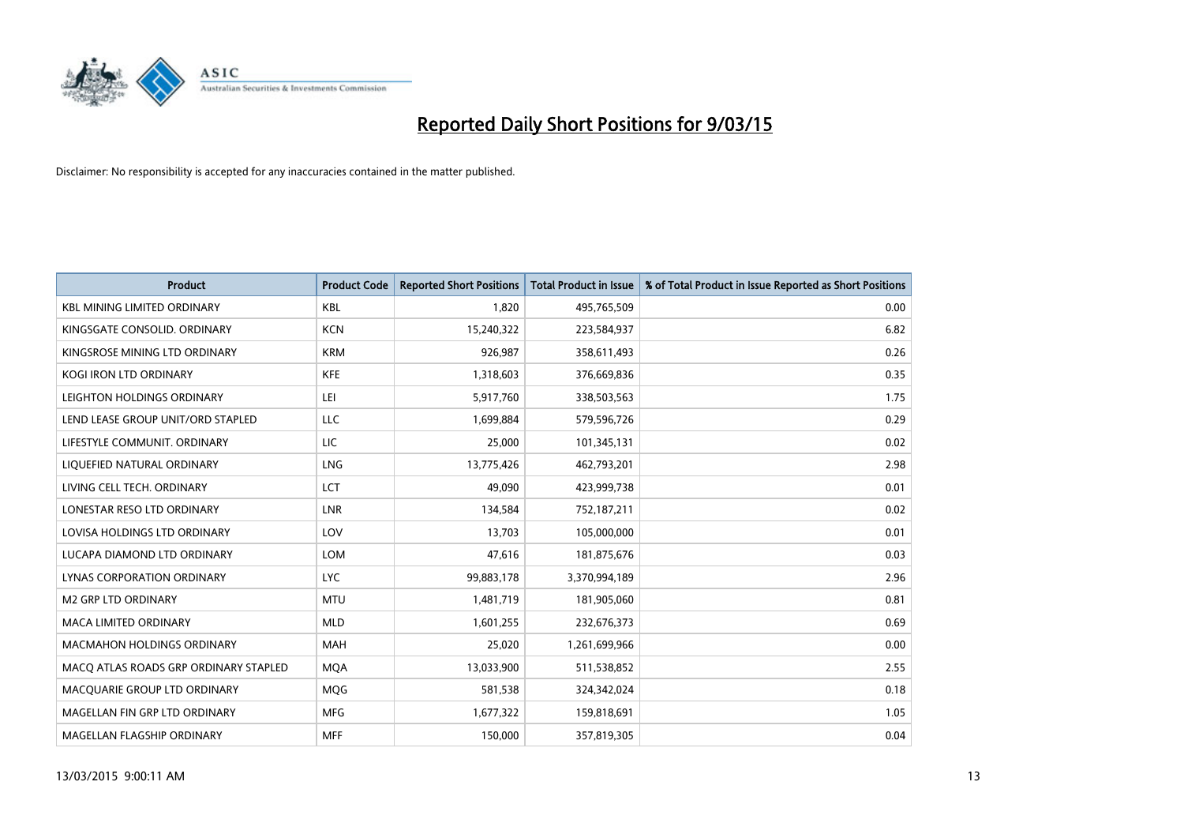

| <b>Product</b>                        | <b>Product Code</b> | <b>Reported Short Positions</b> | <b>Total Product in Issue</b> | % of Total Product in Issue Reported as Short Positions |
|---------------------------------------|---------------------|---------------------------------|-------------------------------|---------------------------------------------------------|
| <b>KBL MINING LIMITED ORDINARY</b>    | <b>KBL</b>          | 1,820                           | 495,765,509                   | 0.00                                                    |
| KINGSGATE CONSOLID. ORDINARY          | <b>KCN</b>          | 15,240,322                      | 223,584,937                   | 6.82                                                    |
| KINGSROSE MINING LTD ORDINARY         | <b>KRM</b>          | 926,987                         | 358,611,493                   | 0.26                                                    |
| KOGI IRON LTD ORDINARY                | <b>KFE</b>          | 1,318,603                       | 376,669,836                   | 0.35                                                    |
| LEIGHTON HOLDINGS ORDINARY            | LEI                 | 5,917,760                       | 338,503,563                   | 1.75                                                    |
| LEND LEASE GROUP UNIT/ORD STAPLED     | <b>LLC</b>          | 1,699,884                       | 579,596,726                   | 0.29                                                    |
| LIFESTYLE COMMUNIT. ORDINARY          | LIC                 | 25,000                          | 101,345,131                   | 0.02                                                    |
| LIQUEFIED NATURAL ORDINARY            | <b>LNG</b>          | 13,775,426                      | 462,793,201                   | 2.98                                                    |
| LIVING CELL TECH. ORDINARY            | LCT                 | 49.090                          | 423,999,738                   | 0.01                                                    |
| LONESTAR RESO LTD ORDINARY            | <b>LNR</b>          | 134,584                         | 752,187,211                   | 0.02                                                    |
| LOVISA HOLDINGS LTD ORDINARY          | LOV                 | 13,703                          | 105,000,000                   | 0.01                                                    |
| LUCAPA DIAMOND LTD ORDINARY           | LOM                 | 47,616                          | 181,875,676                   | 0.03                                                    |
| LYNAS CORPORATION ORDINARY            | <b>LYC</b>          | 99,883,178                      | 3,370,994,189                 | 2.96                                                    |
| <b>M2 GRP LTD ORDINARY</b>            | <b>MTU</b>          | 1,481,719                       | 181,905,060                   | 0.81                                                    |
| <b>MACA LIMITED ORDINARY</b>          | <b>MLD</b>          | 1,601,255                       | 232,676,373                   | 0.69                                                    |
| MACMAHON HOLDINGS ORDINARY            | MAH                 | 25,020                          | 1,261,699,966                 | 0.00                                                    |
| MACO ATLAS ROADS GRP ORDINARY STAPLED | <b>MQA</b>          | 13,033,900                      | 511,538,852                   | 2.55                                                    |
| MACQUARIE GROUP LTD ORDINARY          | <b>MQG</b>          | 581,538                         | 324,342,024                   | 0.18                                                    |
| MAGELLAN FIN GRP LTD ORDINARY         | <b>MFG</b>          | 1,677,322                       | 159,818,691                   | 1.05                                                    |
| MAGELLAN FLAGSHIP ORDINARY            | <b>MFF</b>          | 150,000                         | 357,819,305                   | 0.04                                                    |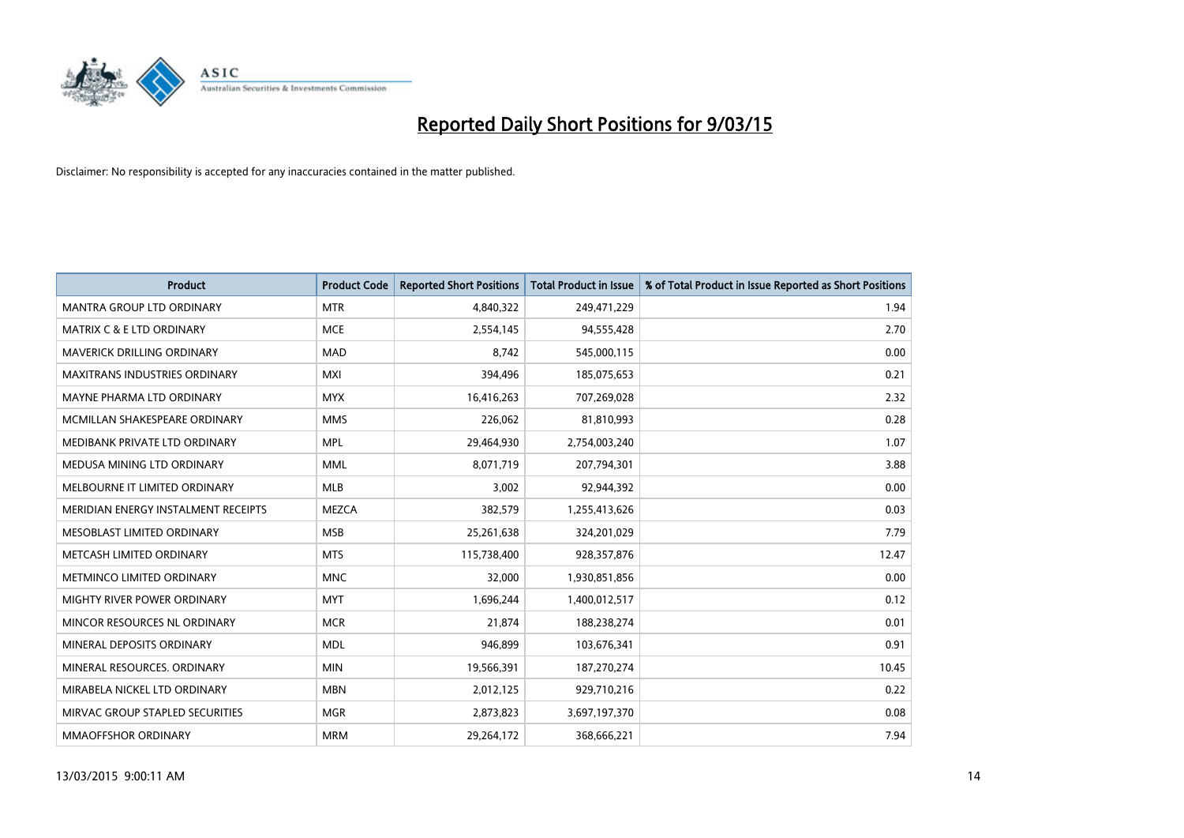

| <b>Product</b>                       | <b>Product Code</b> | <b>Reported Short Positions</b> | <b>Total Product in Issue</b> | % of Total Product in Issue Reported as Short Positions |
|--------------------------------------|---------------------|---------------------------------|-------------------------------|---------------------------------------------------------|
| <b>MANTRA GROUP LTD ORDINARY</b>     | <b>MTR</b>          | 4,840,322                       | 249,471,229                   | 1.94                                                    |
| <b>MATRIX C &amp; E LTD ORDINARY</b> | <b>MCE</b>          | 2,554,145                       | 94,555,428                    | 2.70                                                    |
| <b>MAVERICK DRILLING ORDINARY</b>    | <b>MAD</b>          | 8,742                           | 545,000,115                   | 0.00                                                    |
| <b>MAXITRANS INDUSTRIES ORDINARY</b> | <b>MXI</b>          | 394,496                         | 185,075,653                   | 0.21                                                    |
| MAYNE PHARMA LTD ORDINARY            | <b>MYX</b>          | 16,416,263                      | 707,269,028                   | 2.32                                                    |
| MCMILLAN SHAKESPEARE ORDINARY        | <b>MMS</b>          | 226,062                         | 81,810,993                    | 0.28                                                    |
| MEDIBANK PRIVATE LTD ORDINARY        | <b>MPL</b>          | 29,464,930                      | 2,754,003,240                 | 1.07                                                    |
| MEDUSA MINING LTD ORDINARY           | <b>MML</b>          | 8,071,719                       | 207,794,301                   | 3.88                                                    |
| MELBOURNE IT LIMITED ORDINARY        | <b>MLB</b>          | 3,002                           | 92,944,392                    | 0.00                                                    |
| MERIDIAN ENERGY INSTALMENT RECEIPTS  | <b>MEZCA</b>        | 382,579                         | 1,255,413,626                 | 0.03                                                    |
| MESOBLAST LIMITED ORDINARY           | <b>MSB</b>          | 25,261,638                      | 324,201,029                   | 7.79                                                    |
| METCASH LIMITED ORDINARY             | <b>MTS</b>          | 115,738,400                     | 928,357,876                   | 12.47                                                   |
| METMINCO LIMITED ORDINARY            | <b>MNC</b>          | 32,000                          | 1,930,851,856                 | 0.00                                                    |
| MIGHTY RIVER POWER ORDINARY          | <b>MYT</b>          | 1,696,244                       | 1,400,012,517                 | 0.12                                                    |
| MINCOR RESOURCES NL ORDINARY         | <b>MCR</b>          | 21,874                          | 188,238,274                   | 0.01                                                    |
| MINERAL DEPOSITS ORDINARY            | <b>MDL</b>          | 946,899                         | 103,676,341                   | 0.91                                                    |
| MINERAL RESOURCES. ORDINARY          | <b>MIN</b>          | 19,566,391                      | 187,270,274                   | 10.45                                                   |
| MIRABELA NICKEL LTD ORDINARY         | <b>MBN</b>          | 2,012,125                       | 929,710,216                   | 0.22                                                    |
| MIRVAC GROUP STAPLED SECURITIES      | <b>MGR</b>          | 2,873,823                       | 3,697,197,370                 | 0.08                                                    |
| <b>MMAOFFSHOR ORDINARY</b>           | <b>MRM</b>          | 29,264,172                      | 368,666,221                   | 7.94                                                    |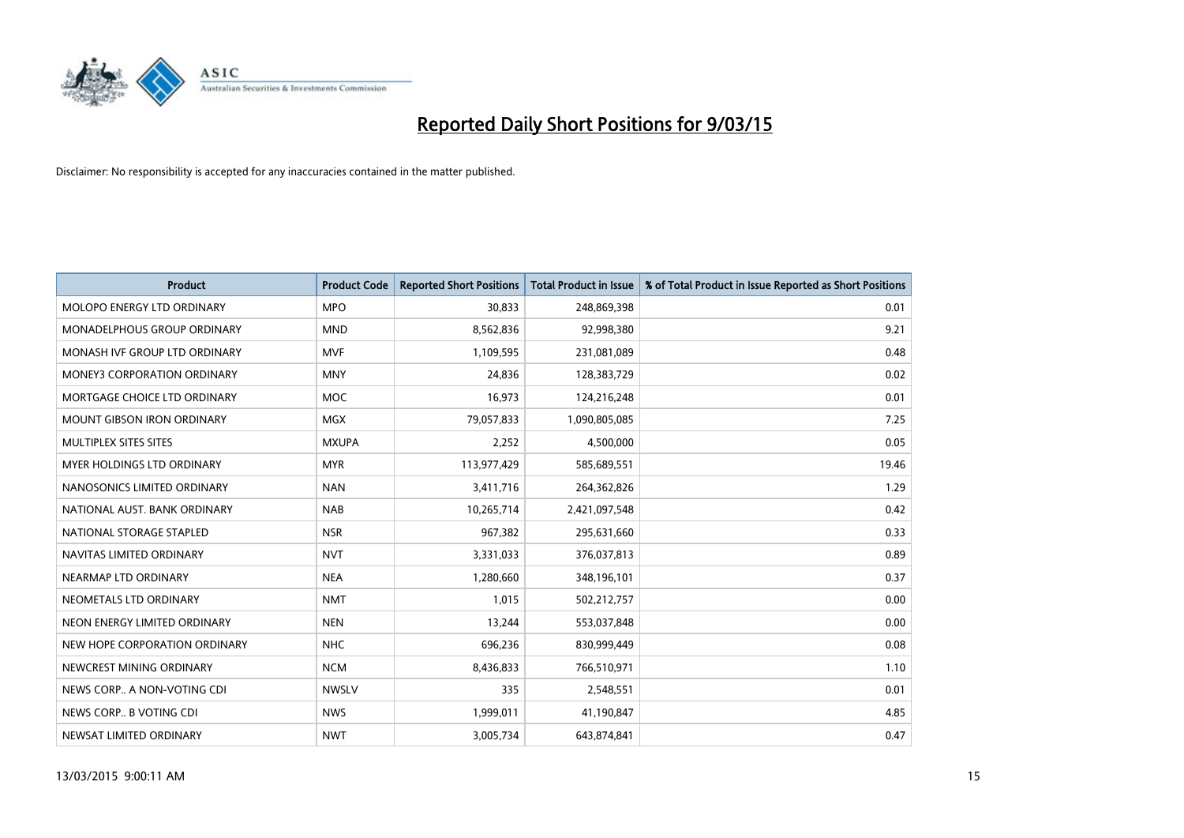

| <b>Product</b>                     | <b>Product Code</b> | <b>Reported Short Positions</b> | <b>Total Product in Issue</b> | % of Total Product in Issue Reported as Short Positions |
|------------------------------------|---------------------|---------------------------------|-------------------------------|---------------------------------------------------------|
| MOLOPO ENERGY LTD ORDINARY         | <b>MPO</b>          | 30,833                          | 248,869,398                   | 0.01                                                    |
| <b>MONADELPHOUS GROUP ORDINARY</b> | <b>MND</b>          | 8,562,836                       | 92,998,380                    | 9.21                                                    |
| MONASH IVF GROUP LTD ORDINARY      | MVF                 | 1,109,595                       | 231,081,089                   | 0.48                                                    |
| MONEY3 CORPORATION ORDINARY        | <b>MNY</b>          | 24,836                          | 128,383,729                   | 0.02                                                    |
| MORTGAGE CHOICE LTD ORDINARY       | MOC                 | 16,973                          | 124,216,248                   | 0.01                                                    |
| <b>MOUNT GIBSON IRON ORDINARY</b>  | MGX                 | 79,057,833                      | 1,090,805,085                 | 7.25                                                    |
| MULTIPLEX SITES SITES              | <b>MXUPA</b>        | 2,252                           | 4,500,000                     | 0.05                                                    |
| <b>MYER HOLDINGS LTD ORDINARY</b>  | <b>MYR</b>          | 113,977,429                     | 585,689,551                   | 19.46                                                   |
| NANOSONICS LIMITED ORDINARY        | <b>NAN</b>          | 3,411,716                       | 264,362,826                   | 1.29                                                    |
| NATIONAL AUST, BANK ORDINARY       | <b>NAB</b>          | 10,265,714                      | 2,421,097,548                 | 0.42                                                    |
| NATIONAL STORAGE STAPLED           | <b>NSR</b>          | 967,382                         | 295,631,660                   | 0.33                                                    |
| NAVITAS LIMITED ORDINARY           | <b>NVT</b>          | 3,331,033                       | 376,037,813                   | 0.89                                                    |
| NEARMAP LTD ORDINARY               | <b>NEA</b>          | 1,280,660                       | 348,196,101                   | 0.37                                                    |
| NEOMETALS LTD ORDINARY             | <b>NMT</b>          | 1,015                           | 502,212,757                   | 0.00                                                    |
| NEON ENERGY LIMITED ORDINARY       | <b>NEN</b>          | 13,244                          | 553,037,848                   | 0.00                                                    |
| NEW HOPE CORPORATION ORDINARY      | <b>NHC</b>          | 696,236                         | 830,999,449                   | 0.08                                                    |
| NEWCREST MINING ORDINARY           | <b>NCM</b>          | 8,436,833                       | 766,510,971                   | 1.10                                                    |
| NEWS CORP A NON-VOTING CDI         | <b>NWSLV</b>        | 335                             | 2,548,551                     | 0.01                                                    |
| NEWS CORP B VOTING CDI             | <b>NWS</b>          | 1,999,011                       | 41,190,847                    | 4.85                                                    |
| NEWSAT LIMITED ORDINARY            | <b>NWT</b>          | 3,005,734                       | 643,874,841                   | 0.47                                                    |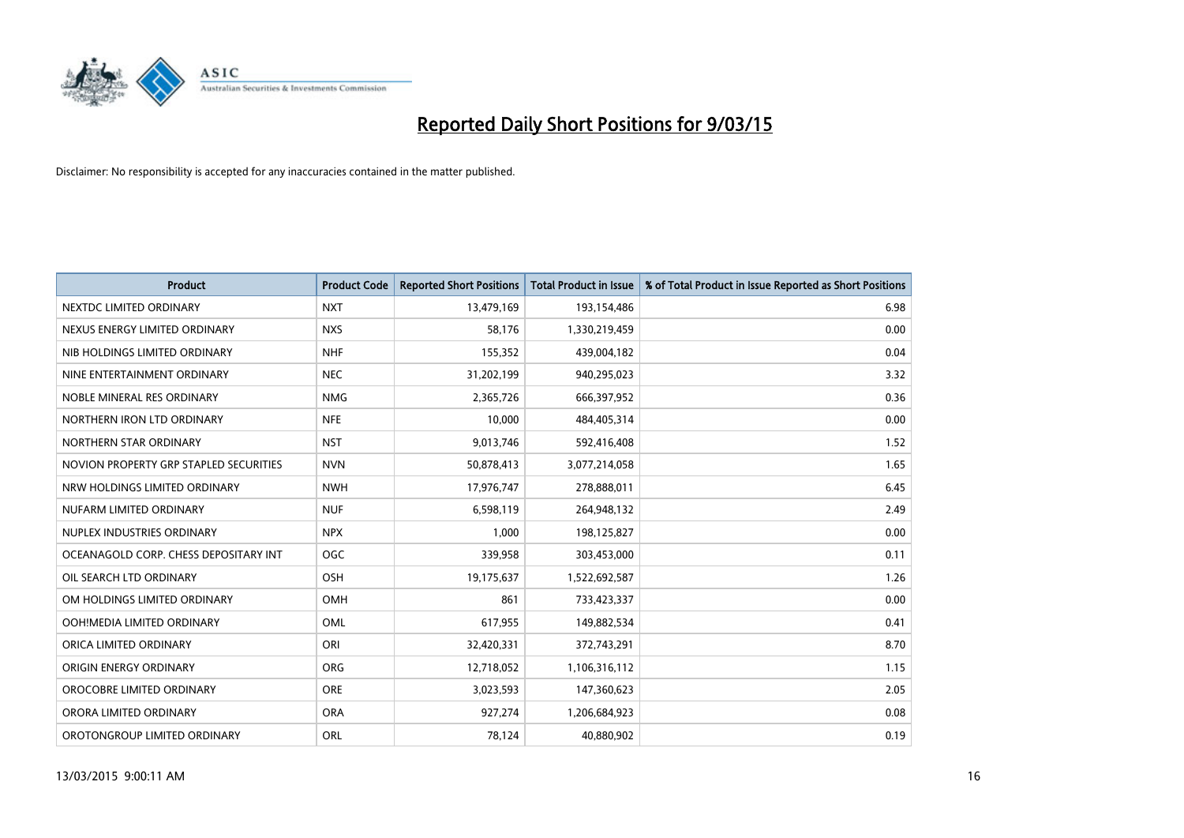

| <b>Product</b>                         | <b>Product Code</b> | <b>Reported Short Positions</b> | <b>Total Product in Issue</b> | % of Total Product in Issue Reported as Short Positions |
|----------------------------------------|---------------------|---------------------------------|-------------------------------|---------------------------------------------------------|
| NEXTDC LIMITED ORDINARY                | <b>NXT</b>          | 13,479,169                      | 193,154,486                   | 6.98                                                    |
| NEXUS ENERGY LIMITED ORDINARY          | <b>NXS</b>          | 58,176                          | 1,330,219,459                 | 0.00                                                    |
| NIB HOLDINGS LIMITED ORDINARY          | <b>NHF</b>          | 155,352                         | 439,004,182                   | 0.04                                                    |
| NINE ENTERTAINMENT ORDINARY            | <b>NEC</b>          | 31,202,199                      | 940,295,023                   | 3.32                                                    |
| NOBLE MINERAL RES ORDINARY             | <b>NMG</b>          | 2,365,726                       | 666,397,952                   | 0.36                                                    |
| NORTHERN IRON LTD ORDINARY             | <b>NFE</b>          | 10,000                          | 484,405,314                   | 0.00                                                    |
| NORTHERN STAR ORDINARY                 | <b>NST</b>          | 9,013,746                       | 592,416,408                   | 1.52                                                    |
| NOVION PROPERTY GRP STAPLED SECURITIES | <b>NVN</b>          | 50,878,413                      | 3,077,214,058                 | 1.65                                                    |
| NRW HOLDINGS LIMITED ORDINARY          | <b>NWH</b>          | 17,976,747                      | 278,888,011                   | 6.45                                                    |
| NUFARM LIMITED ORDINARY                | <b>NUF</b>          | 6,598,119                       | 264,948,132                   | 2.49                                                    |
| NUPLEX INDUSTRIES ORDINARY             | <b>NPX</b>          | 1,000                           | 198,125,827                   | 0.00                                                    |
| OCEANAGOLD CORP. CHESS DEPOSITARY INT  | <b>OGC</b>          | 339,958                         | 303,453,000                   | 0.11                                                    |
| OIL SEARCH LTD ORDINARY                | OSH                 | 19,175,637                      | 1,522,692,587                 | 1.26                                                    |
| OM HOLDINGS LIMITED ORDINARY           | OMH                 | 861                             | 733,423,337                   | 0.00                                                    |
| OOH!MEDIA LIMITED ORDINARY             | OML                 | 617,955                         | 149,882,534                   | 0.41                                                    |
| ORICA LIMITED ORDINARY                 | ORI                 | 32,420,331                      | 372,743,291                   | 8.70                                                    |
| ORIGIN ENERGY ORDINARY                 | <b>ORG</b>          | 12,718,052                      | 1,106,316,112                 | 1.15                                                    |
| OROCOBRE LIMITED ORDINARY              | <b>ORE</b>          | 3,023,593                       | 147,360,623                   | 2.05                                                    |
| ORORA LIMITED ORDINARY                 | <b>ORA</b>          | 927,274                         | 1,206,684,923                 | 0.08                                                    |
| OROTONGROUP LIMITED ORDINARY           | ORL                 | 78,124                          | 40,880,902                    | 0.19                                                    |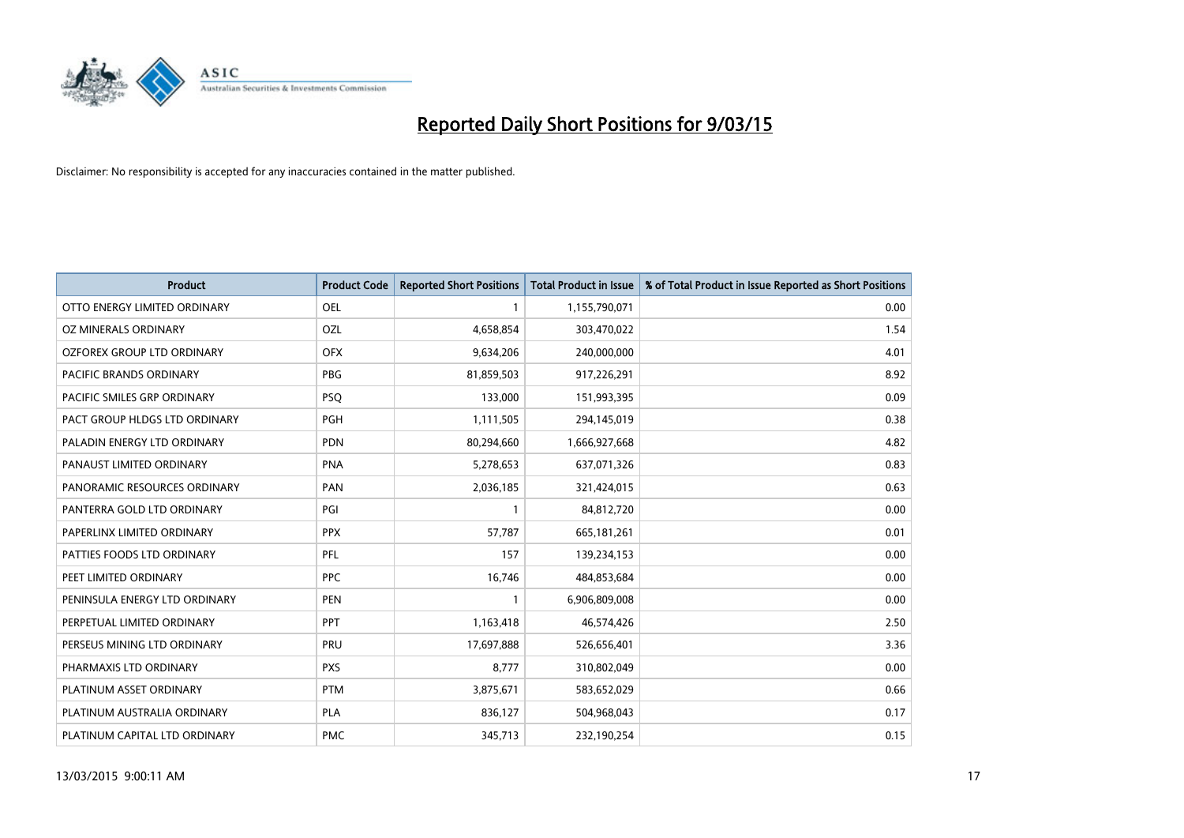

| <b>Product</b>                | <b>Product Code</b> | <b>Reported Short Positions</b> | Total Product in Issue | % of Total Product in Issue Reported as Short Positions |
|-------------------------------|---------------------|---------------------------------|------------------------|---------------------------------------------------------|
| OTTO ENERGY LIMITED ORDINARY  | <b>OEL</b>          | 1                               | 1,155,790,071          | 0.00                                                    |
| OZ MINERALS ORDINARY          | OZL                 | 4,658,854                       | 303,470,022            | 1.54                                                    |
| OZFOREX GROUP LTD ORDINARY    | <b>OFX</b>          | 9,634,206                       | 240,000,000            | 4.01                                                    |
| PACIFIC BRANDS ORDINARY       | <b>PBG</b>          | 81,859,503                      | 917,226,291            | 8.92                                                    |
| PACIFIC SMILES GRP ORDINARY   | <b>PSQ</b>          | 133,000                         | 151,993,395            | 0.09                                                    |
| PACT GROUP HLDGS LTD ORDINARY | <b>PGH</b>          | 1,111,505                       | 294,145,019            | 0.38                                                    |
| PALADIN ENERGY LTD ORDINARY   | <b>PDN</b>          | 80,294,660                      | 1,666,927,668          | 4.82                                                    |
| PANAUST LIMITED ORDINARY      | <b>PNA</b>          | 5,278,653                       | 637,071,326            | 0.83                                                    |
| PANORAMIC RESOURCES ORDINARY  | <b>PAN</b>          | 2,036,185                       | 321,424,015            | 0.63                                                    |
| PANTERRA GOLD LTD ORDINARY    | PGI                 | $\mathbf{1}$                    | 84,812,720             | 0.00                                                    |
| PAPERLINX LIMITED ORDINARY    | <b>PPX</b>          | 57,787                          | 665, 181, 261          | 0.01                                                    |
| PATTIES FOODS LTD ORDINARY    | PFL                 | 157                             | 139,234,153            | 0.00                                                    |
| PEET LIMITED ORDINARY         | <b>PPC</b>          | 16,746                          | 484,853,684            | 0.00                                                    |
| PENINSULA ENERGY LTD ORDINARY | <b>PEN</b>          | $\mathbf{1}$                    | 6,906,809,008          | 0.00                                                    |
| PERPETUAL LIMITED ORDINARY    | PPT                 | 1,163,418                       | 46,574,426             | 2.50                                                    |
| PERSEUS MINING LTD ORDINARY   | PRU                 | 17,697,888                      | 526,656,401            | 3.36                                                    |
| PHARMAXIS LTD ORDINARY        | <b>PXS</b>          | 8,777                           | 310,802,049            | 0.00                                                    |
| PLATINUM ASSET ORDINARY       | <b>PTM</b>          | 3,875,671                       | 583,652,029            | 0.66                                                    |
| PLATINUM AUSTRALIA ORDINARY   | <b>PLA</b>          | 836,127                         | 504,968,043            | 0.17                                                    |
| PLATINUM CAPITAL LTD ORDINARY | <b>PMC</b>          | 345,713                         | 232,190,254            | 0.15                                                    |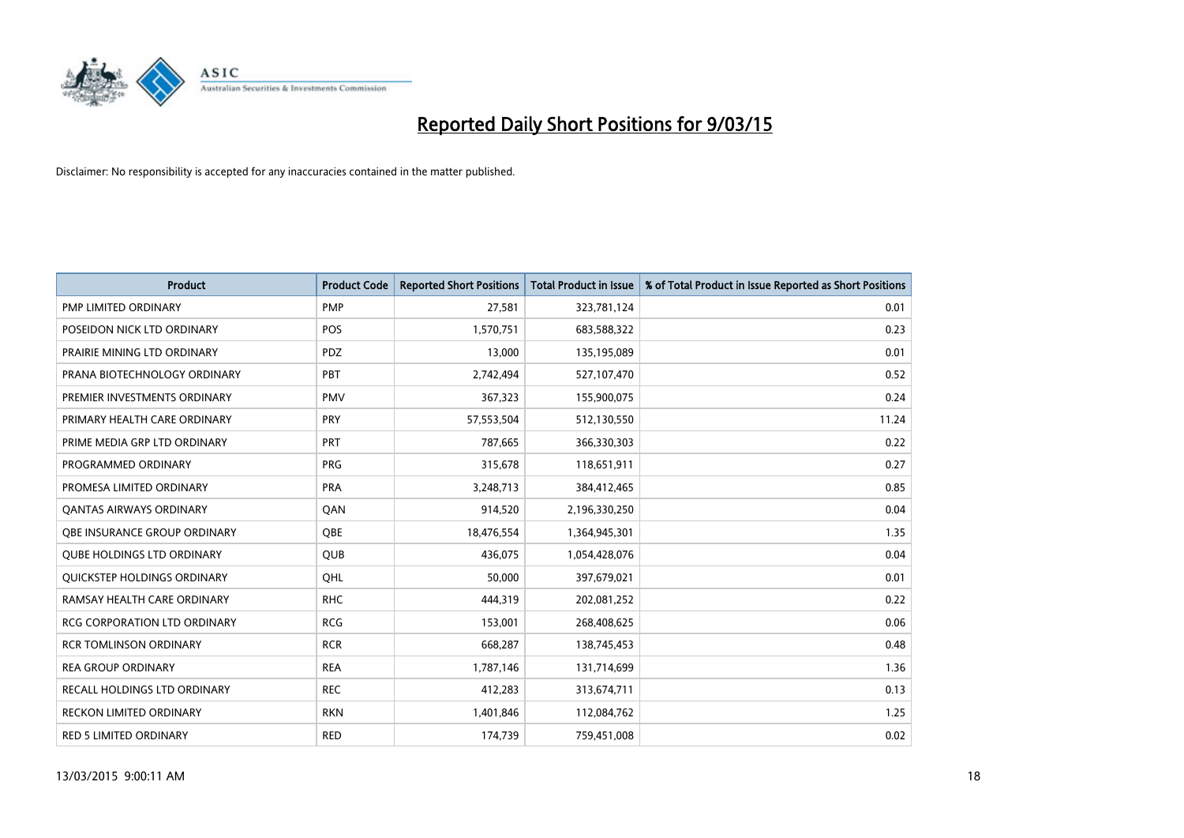

| <b>Product</b>                      | <b>Product Code</b> | <b>Reported Short Positions</b> | <b>Total Product in Issue</b> | % of Total Product in Issue Reported as Short Positions |
|-------------------------------------|---------------------|---------------------------------|-------------------------------|---------------------------------------------------------|
| <b>PMP LIMITED ORDINARY</b>         | <b>PMP</b>          | 27,581                          | 323,781,124                   | 0.01                                                    |
| POSEIDON NICK LTD ORDINARY          | <b>POS</b>          | 1,570,751                       | 683,588,322                   | 0.23                                                    |
| PRAIRIE MINING LTD ORDINARY         | <b>PDZ</b>          | 13,000                          | 135,195,089                   | 0.01                                                    |
| PRANA BIOTECHNOLOGY ORDINARY        | PBT                 | 2,742,494                       | 527,107,470                   | 0.52                                                    |
| PREMIER INVESTMENTS ORDINARY        | <b>PMV</b>          | 367,323                         | 155,900,075                   | 0.24                                                    |
| PRIMARY HEALTH CARE ORDINARY        | PRY                 | 57,553,504                      | 512,130,550                   | 11.24                                                   |
| PRIME MEDIA GRP LTD ORDINARY        | <b>PRT</b>          | 787,665                         | 366,330,303                   | 0.22                                                    |
| PROGRAMMED ORDINARY                 | <b>PRG</b>          | 315,678                         | 118,651,911                   | 0.27                                                    |
| PROMESA LIMITED ORDINARY            | <b>PRA</b>          | 3,248,713                       | 384,412,465                   | 0.85                                                    |
| <b>QANTAS AIRWAYS ORDINARY</b>      | QAN                 | 914,520                         | 2,196,330,250                 | 0.04                                                    |
| OBE INSURANCE GROUP ORDINARY        | <b>OBE</b>          | 18,476,554                      | 1,364,945,301                 | 1.35                                                    |
| <b>QUBE HOLDINGS LTD ORDINARY</b>   | QUB                 | 436,075                         | 1,054,428,076                 | 0.04                                                    |
| QUICKSTEP HOLDINGS ORDINARY         | OHL                 | 50,000                          | 397,679,021                   | 0.01                                                    |
| RAMSAY HEALTH CARE ORDINARY         | <b>RHC</b>          | 444,319                         | 202,081,252                   | 0.22                                                    |
| <b>RCG CORPORATION LTD ORDINARY</b> | <b>RCG</b>          | 153,001                         | 268,408,625                   | 0.06                                                    |
| <b>RCR TOMLINSON ORDINARY</b>       | <b>RCR</b>          | 668,287                         | 138,745,453                   | 0.48                                                    |
| <b>REA GROUP ORDINARY</b>           | <b>REA</b>          | 1,787,146                       | 131,714,699                   | 1.36                                                    |
| RECALL HOLDINGS LTD ORDINARY        | <b>REC</b>          | 412,283                         | 313,674,711                   | 0.13                                                    |
| <b>RECKON LIMITED ORDINARY</b>      | <b>RKN</b>          | 1,401,846                       | 112,084,762                   | 1.25                                                    |
| RED 5 LIMITED ORDINARY              | <b>RED</b>          | 174,739                         | 759,451,008                   | 0.02                                                    |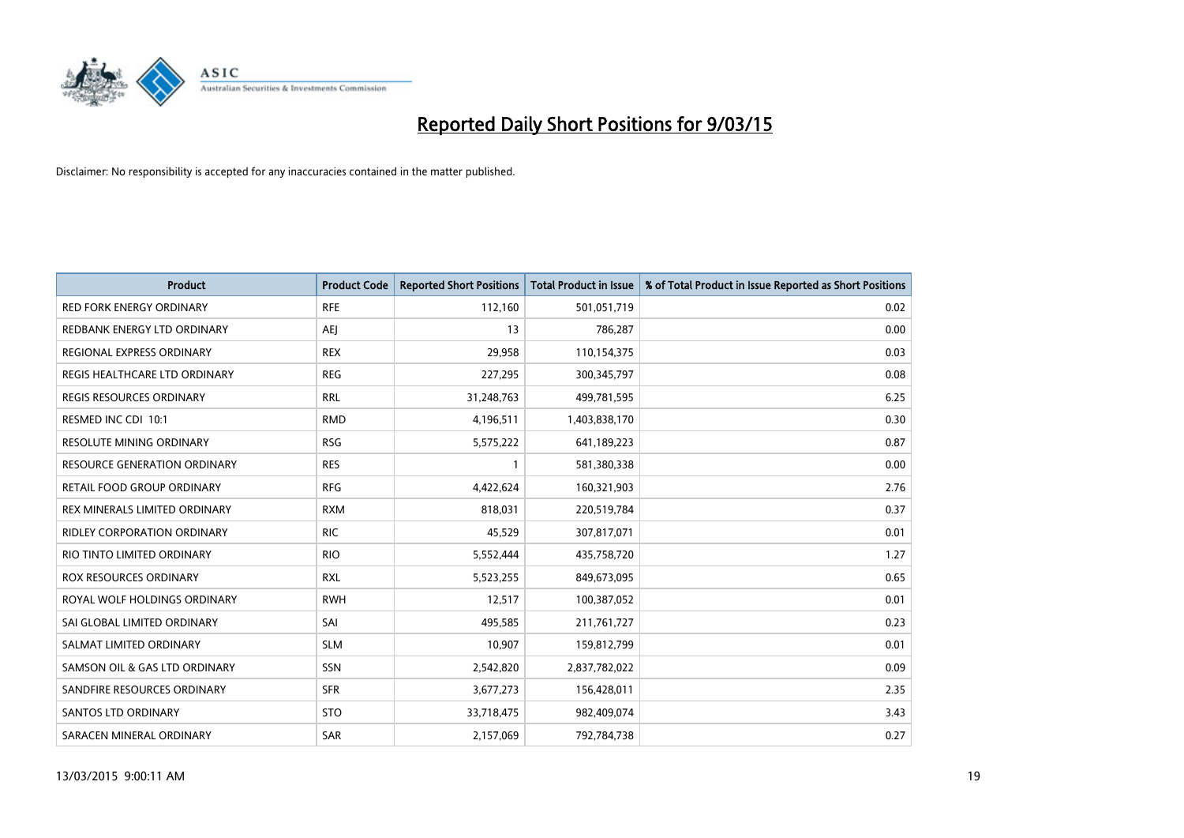

| <b>Product</b>                      | <b>Product Code</b> | <b>Reported Short Positions</b> | <b>Total Product in Issue</b> | % of Total Product in Issue Reported as Short Positions |
|-------------------------------------|---------------------|---------------------------------|-------------------------------|---------------------------------------------------------|
| <b>RED FORK ENERGY ORDINARY</b>     | <b>RFE</b>          | 112,160                         | 501,051,719                   | 0.02                                                    |
| REDBANK ENERGY LTD ORDINARY         | AEJ                 | 13                              | 786,287                       | 0.00                                                    |
| REGIONAL EXPRESS ORDINARY           | <b>REX</b>          | 29,958                          | 110,154,375                   | 0.03                                                    |
| REGIS HEALTHCARE LTD ORDINARY       | <b>REG</b>          | 227,295                         | 300, 345, 797                 | 0.08                                                    |
| <b>REGIS RESOURCES ORDINARY</b>     | <b>RRL</b>          | 31,248,763                      | 499,781,595                   | 6.25                                                    |
| RESMED INC CDI 10:1                 | <b>RMD</b>          | 4,196,511                       | 1,403,838,170                 | 0.30                                                    |
| <b>RESOLUTE MINING ORDINARY</b>     | <b>RSG</b>          | 5,575,222                       | 641,189,223                   | 0.87                                                    |
| <b>RESOURCE GENERATION ORDINARY</b> | <b>RES</b>          | $\mathbf{1}$                    | 581,380,338                   | 0.00                                                    |
| RETAIL FOOD GROUP ORDINARY          | <b>RFG</b>          | 4,422,624                       | 160,321,903                   | 2.76                                                    |
| REX MINERALS LIMITED ORDINARY       | <b>RXM</b>          | 818,031                         | 220,519,784                   | 0.37                                                    |
| RIDLEY CORPORATION ORDINARY         | <b>RIC</b>          | 45,529                          | 307,817,071                   | 0.01                                                    |
| RIO TINTO LIMITED ORDINARY          | <b>RIO</b>          | 5,552,444                       | 435,758,720                   | 1.27                                                    |
| ROX RESOURCES ORDINARY              | <b>RXL</b>          | 5,523,255                       | 849,673,095                   | 0.65                                                    |
| ROYAL WOLF HOLDINGS ORDINARY        | <b>RWH</b>          | 12,517                          | 100,387,052                   | 0.01                                                    |
| SAI GLOBAL LIMITED ORDINARY         | SAI                 | 495,585                         | 211,761,727                   | 0.23                                                    |
| SALMAT LIMITED ORDINARY             | <b>SLM</b>          | 10,907                          | 159,812,799                   | 0.01                                                    |
| SAMSON OIL & GAS LTD ORDINARY       | SSN                 | 2,542,820                       | 2,837,782,022                 | 0.09                                                    |
| SANDFIRE RESOURCES ORDINARY         | <b>SFR</b>          | 3,677,273                       | 156,428,011                   | 2.35                                                    |
| SANTOS LTD ORDINARY                 | <b>STO</b>          | 33,718,475                      | 982,409,074                   | 3.43                                                    |
| SARACEN MINERAL ORDINARY            | SAR                 | 2,157,069                       | 792,784,738                   | 0.27                                                    |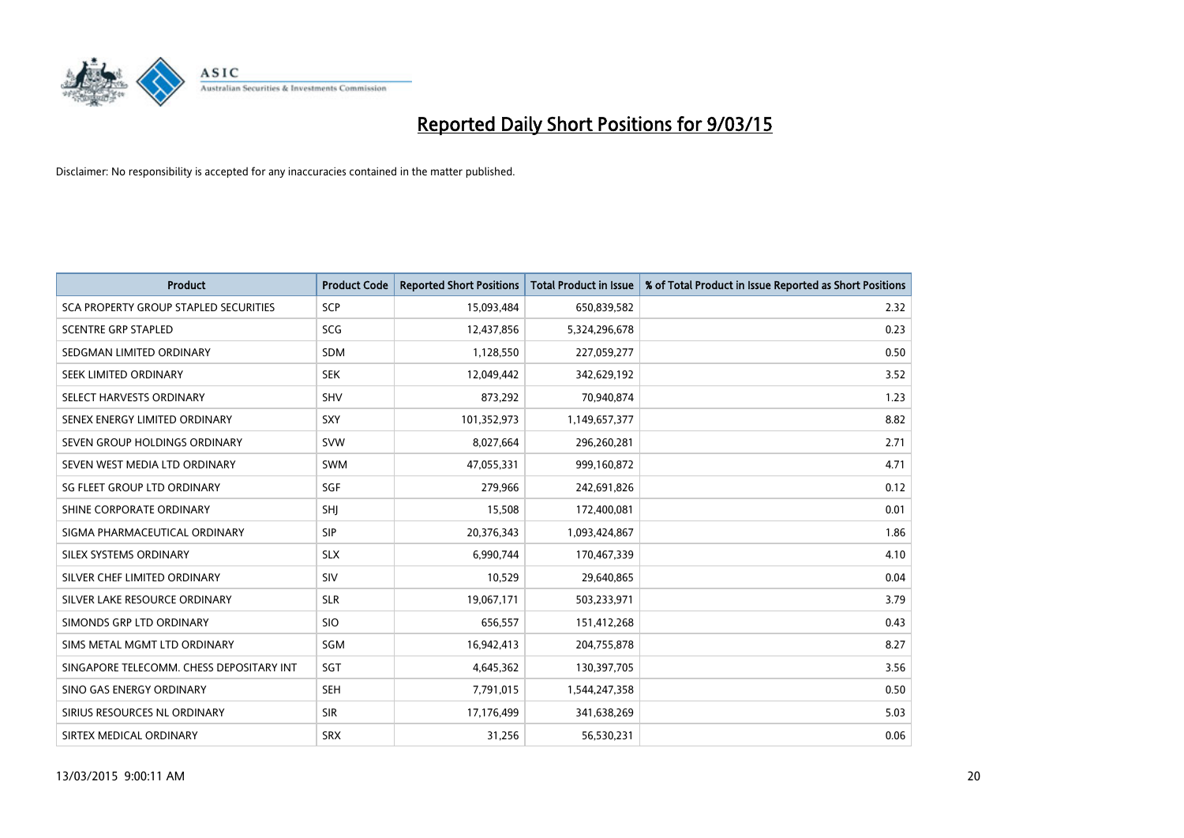

| <b>Product</b>                           | <b>Product Code</b> | <b>Reported Short Positions</b> | <b>Total Product in Issue</b> | % of Total Product in Issue Reported as Short Positions |
|------------------------------------------|---------------------|---------------------------------|-------------------------------|---------------------------------------------------------|
| SCA PROPERTY GROUP STAPLED SECURITIES    | <b>SCP</b>          | 15,093,484                      | 650,839,582                   | 2.32                                                    |
| <b>SCENTRE GRP STAPLED</b>               | <b>SCG</b>          | 12,437,856                      | 5,324,296,678                 | 0.23                                                    |
| SEDGMAN LIMITED ORDINARY                 | <b>SDM</b>          | 1,128,550                       | 227,059,277                   | 0.50                                                    |
| SEEK LIMITED ORDINARY                    | <b>SEK</b>          | 12,049,442                      | 342,629,192                   | 3.52                                                    |
| SELECT HARVESTS ORDINARY                 | <b>SHV</b>          | 873,292                         | 70,940,874                    | 1.23                                                    |
| SENEX ENERGY LIMITED ORDINARY            | SXY                 | 101,352,973                     | 1,149,657,377                 | 8.82                                                    |
| SEVEN GROUP HOLDINGS ORDINARY            | <b>SVW</b>          | 8,027,664                       | 296,260,281                   | 2.71                                                    |
| SEVEN WEST MEDIA LTD ORDINARY            | SWM                 | 47,055,331                      | 999,160,872                   | 4.71                                                    |
| SG FLEET GROUP LTD ORDINARY              | SGF                 | 279,966                         | 242,691,826                   | 0.12                                                    |
| SHINE CORPORATE ORDINARY                 | <b>SHI</b>          | 15,508                          | 172,400,081                   | 0.01                                                    |
| SIGMA PHARMACEUTICAL ORDINARY            | <b>SIP</b>          | 20,376,343                      | 1,093,424,867                 | 1.86                                                    |
| SILEX SYSTEMS ORDINARY                   | <b>SLX</b>          | 6,990,744                       | 170,467,339                   | 4.10                                                    |
| SILVER CHEF LIMITED ORDINARY             | SIV                 | 10,529                          | 29,640,865                    | 0.04                                                    |
| SILVER LAKE RESOURCE ORDINARY            | <b>SLR</b>          | 19,067,171                      | 503,233,971                   | 3.79                                                    |
| SIMONDS GRP LTD ORDINARY                 | <b>SIO</b>          | 656,557                         | 151,412,268                   | 0.43                                                    |
| SIMS METAL MGMT LTD ORDINARY             | SGM                 | 16,942,413                      | 204,755,878                   | 8.27                                                    |
| SINGAPORE TELECOMM. CHESS DEPOSITARY INT | SGT                 | 4,645,362                       | 130,397,705                   | 3.56                                                    |
| SINO GAS ENERGY ORDINARY                 | <b>SEH</b>          | 7,791,015                       | 1,544,247,358                 | 0.50                                                    |
| SIRIUS RESOURCES NL ORDINARY             | <b>SIR</b>          | 17,176,499                      | 341,638,269                   | 5.03                                                    |
| SIRTEX MEDICAL ORDINARY                  | <b>SRX</b>          | 31,256                          | 56,530,231                    | 0.06                                                    |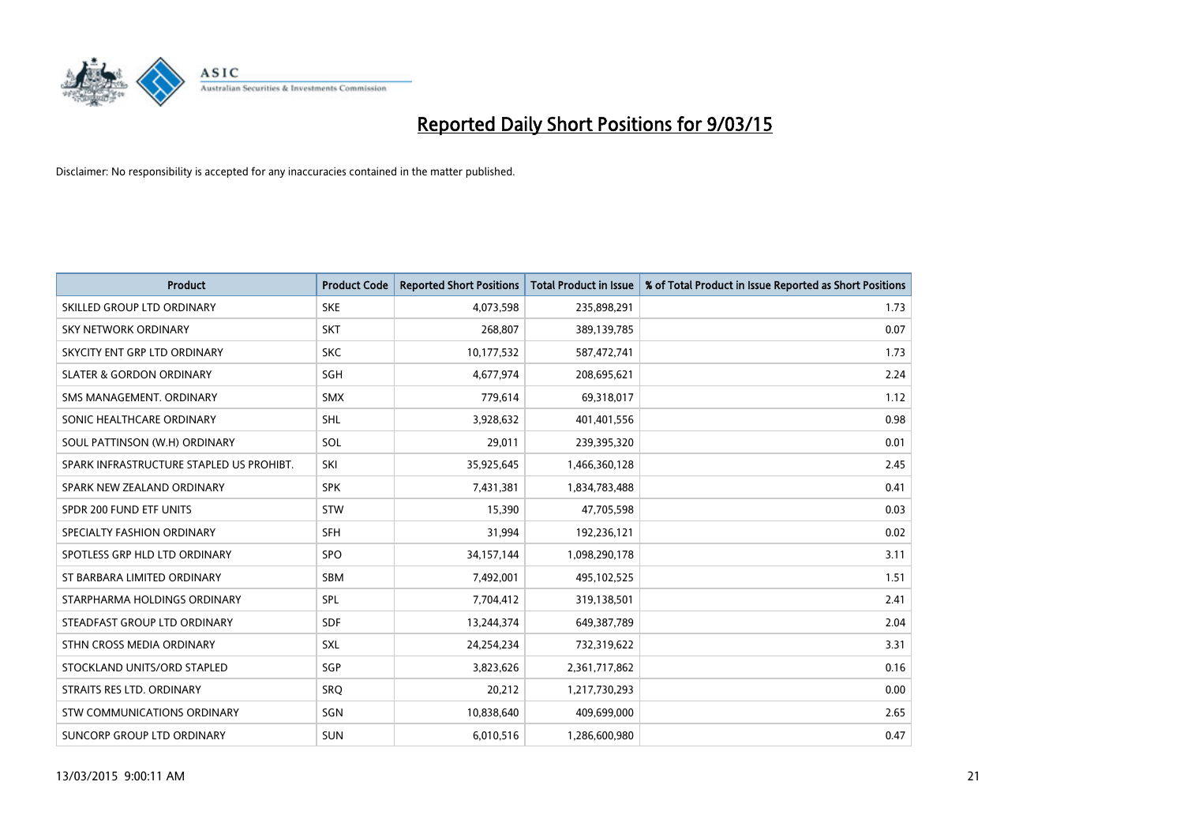

| <b>Product</b>                           | <b>Product Code</b> | <b>Reported Short Positions</b> | <b>Total Product in Issue</b> | % of Total Product in Issue Reported as Short Positions |
|------------------------------------------|---------------------|---------------------------------|-------------------------------|---------------------------------------------------------|
| SKILLED GROUP LTD ORDINARY               | <b>SKE</b>          | 4,073,598                       | 235,898,291                   | 1.73                                                    |
| SKY NETWORK ORDINARY                     | <b>SKT</b>          | 268,807                         | 389,139,785                   | 0.07                                                    |
| SKYCITY ENT GRP LTD ORDINARY             | <b>SKC</b>          | 10,177,532                      | 587,472,741                   | 1.73                                                    |
| <b>SLATER &amp; GORDON ORDINARY</b>      | SGH                 | 4,677,974                       | 208,695,621                   | 2.24                                                    |
| SMS MANAGEMENT, ORDINARY                 | SMX                 | 779,614                         | 69,318,017                    | 1.12                                                    |
| SONIC HEALTHCARE ORDINARY                | <b>SHL</b>          | 3,928,632                       | 401,401,556                   | 0.98                                                    |
| SOUL PATTINSON (W.H) ORDINARY            | SOL                 | 29,011                          | 239,395,320                   | 0.01                                                    |
| SPARK INFRASTRUCTURE STAPLED US PROHIBT. | SKI                 | 35,925,645                      | 1,466,360,128                 | 2.45                                                    |
| SPARK NEW ZEALAND ORDINARY               | <b>SPK</b>          | 7,431,381                       | 1,834,783,488                 | 0.41                                                    |
| SPDR 200 FUND ETF UNITS                  | <b>STW</b>          | 15,390                          | 47,705,598                    | 0.03                                                    |
| SPECIALTY FASHION ORDINARY               | <b>SFH</b>          | 31,994                          | 192,236,121                   | 0.02                                                    |
| SPOTLESS GRP HLD LTD ORDINARY            | <b>SPO</b>          | 34,157,144                      | 1,098,290,178                 | 3.11                                                    |
| ST BARBARA LIMITED ORDINARY              | <b>SBM</b>          | 7,492,001                       | 495,102,525                   | 1.51                                                    |
| STARPHARMA HOLDINGS ORDINARY             | SPL                 | 7,704,412                       | 319,138,501                   | 2.41                                                    |
| STEADFAST GROUP LTD ORDINARY             | <b>SDF</b>          | 13,244,374                      | 649,387,789                   | 2.04                                                    |
| STHN CROSS MEDIA ORDINARY                | SXL                 | 24,254,234                      | 732,319,622                   | 3.31                                                    |
| STOCKLAND UNITS/ORD STAPLED              | SGP                 | 3,823,626                       | 2,361,717,862                 | 0.16                                                    |
| STRAITS RES LTD. ORDINARY                | <b>SRQ</b>          | 20,212                          | 1,217,730,293                 | 0.00                                                    |
| STW COMMUNICATIONS ORDINARY              | SGN                 | 10,838,640                      | 409,699,000                   | 2.65                                                    |
| SUNCORP GROUP LTD ORDINARY               | <b>SUN</b>          | 6,010,516                       | 1,286,600,980                 | 0.47                                                    |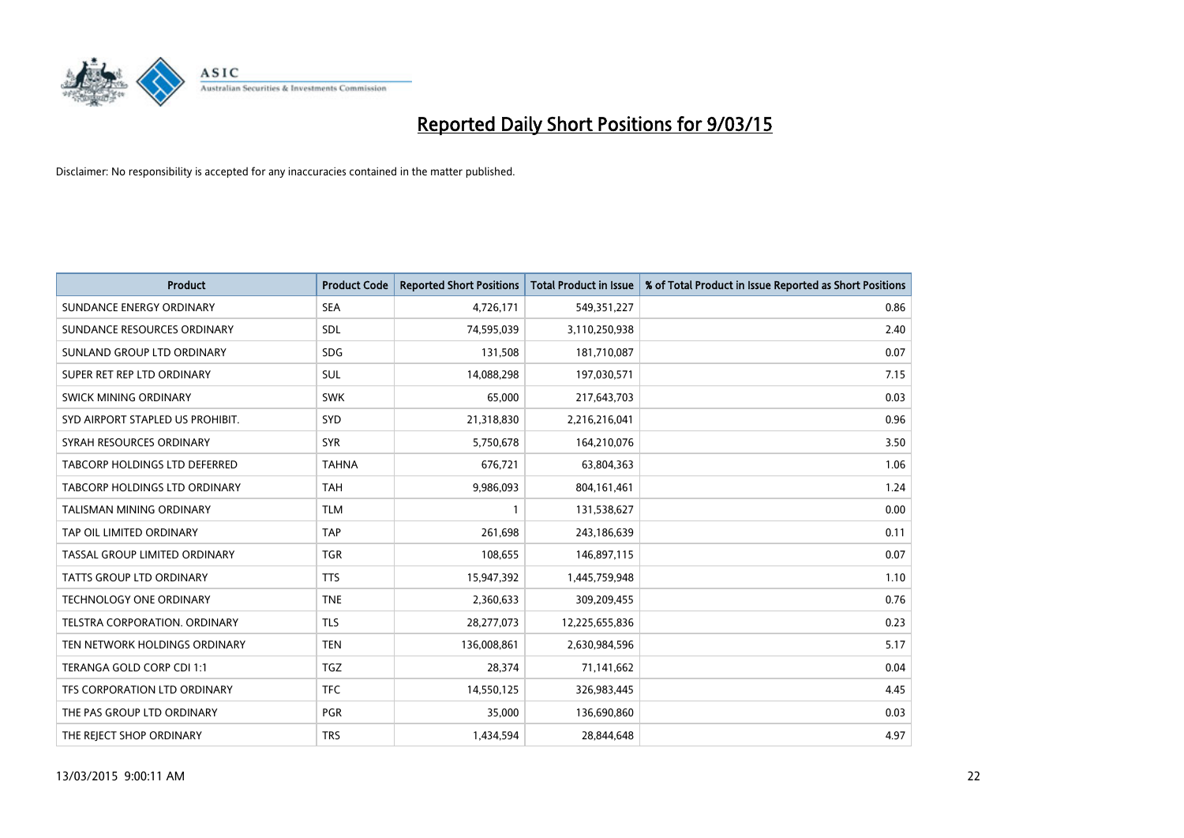

| <b>Product</b>                   | <b>Product Code</b> | <b>Reported Short Positions</b> | <b>Total Product in Issue</b> | % of Total Product in Issue Reported as Short Positions |
|----------------------------------|---------------------|---------------------------------|-------------------------------|---------------------------------------------------------|
| SUNDANCE ENERGY ORDINARY         | <b>SEA</b>          | 4,726,171                       | 549,351,227                   | 0.86                                                    |
| SUNDANCE RESOURCES ORDINARY      | <b>SDL</b>          | 74,595,039                      | 3,110,250,938                 | 2.40                                                    |
| SUNLAND GROUP LTD ORDINARY       | <b>SDG</b>          | 131,508                         | 181,710,087                   | 0.07                                                    |
| SUPER RET REP LTD ORDINARY       | <b>SUL</b>          | 14,088,298                      | 197,030,571                   | 7.15                                                    |
| SWICK MINING ORDINARY            | <b>SWK</b>          | 65,000                          | 217,643,703                   | 0.03                                                    |
| SYD AIRPORT STAPLED US PROHIBIT. | <b>SYD</b>          | 21,318,830                      | 2,216,216,041                 | 0.96                                                    |
| SYRAH RESOURCES ORDINARY         | <b>SYR</b>          | 5,750,678                       | 164,210,076                   | 3.50                                                    |
| TABCORP HOLDINGS LTD DEFERRED    | <b>TAHNA</b>        | 676,721                         | 63,804,363                    | 1.06                                                    |
| TABCORP HOLDINGS LTD ORDINARY    | <b>TAH</b>          | 9,986,093                       | 804, 161, 461                 | 1.24                                                    |
| <b>TALISMAN MINING ORDINARY</b>  | <b>TLM</b>          | 1                               | 131,538,627                   | 0.00                                                    |
| TAP OIL LIMITED ORDINARY         | <b>TAP</b>          | 261,698                         | 243,186,639                   | 0.11                                                    |
| TASSAL GROUP LIMITED ORDINARY    | <b>TGR</b>          | 108,655                         | 146,897,115                   | 0.07                                                    |
| <b>TATTS GROUP LTD ORDINARY</b>  | <b>TTS</b>          | 15,947,392                      | 1,445,759,948                 | 1.10                                                    |
| <b>TECHNOLOGY ONE ORDINARY</b>   | <b>TNE</b>          | 2,360,633                       | 309,209,455                   | 0.76                                                    |
| TELSTRA CORPORATION, ORDINARY    | <b>TLS</b>          | 28,277,073                      | 12,225,655,836                | 0.23                                                    |
| TEN NETWORK HOLDINGS ORDINARY    | <b>TEN</b>          | 136,008,861                     | 2,630,984,596                 | 5.17                                                    |
| TERANGA GOLD CORP CDI 1:1        | <b>TGZ</b>          | 28,374                          | 71,141,662                    | 0.04                                                    |
| TFS CORPORATION LTD ORDINARY     | <b>TFC</b>          | 14,550,125                      | 326,983,445                   | 4.45                                                    |
| THE PAS GROUP LTD ORDINARY       | <b>PGR</b>          | 35,000                          | 136,690,860                   | 0.03                                                    |
| THE REJECT SHOP ORDINARY         | <b>TRS</b>          | 1,434,594                       | 28,844,648                    | 4.97                                                    |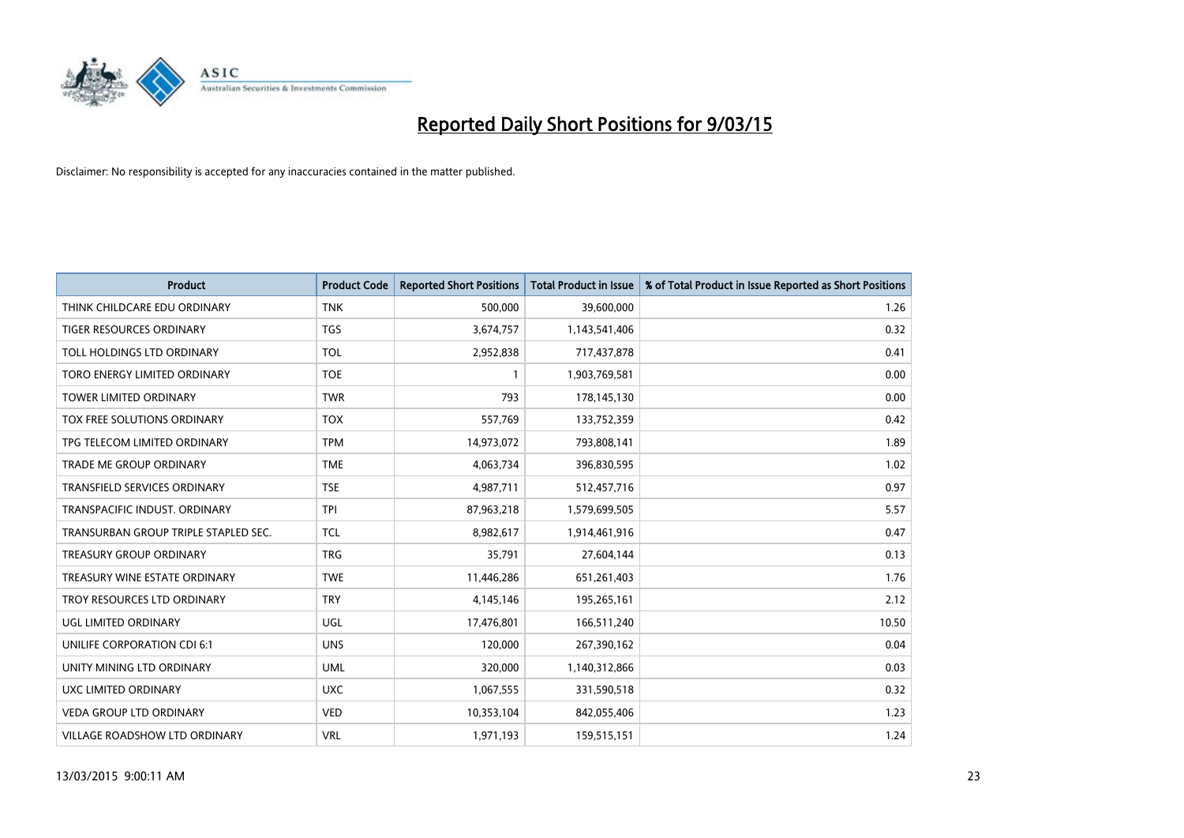

| <b>Product</b>                       | <b>Product Code</b> | <b>Reported Short Positions</b> | <b>Total Product in Issue</b> | % of Total Product in Issue Reported as Short Positions |
|--------------------------------------|---------------------|---------------------------------|-------------------------------|---------------------------------------------------------|
| THINK CHILDCARE EDU ORDINARY         | <b>TNK</b>          | 500,000                         | 39,600,000                    | 1.26                                                    |
| TIGER RESOURCES ORDINARY             | <b>TGS</b>          | 3,674,757                       | 1,143,541,406                 | 0.32                                                    |
| TOLL HOLDINGS LTD ORDINARY           | <b>TOL</b>          | 2,952,838                       | 717,437,878                   | 0.41                                                    |
| TORO ENERGY LIMITED ORDINARY         | <b>TOE</b>          | $\mathbf{1}$                    | 1,903,769,581                 | 0.00                                                    |
| <b>TOWER LIMITED ORDINARY</b>        | <b>TWR</b>          | 793                             | 178,145,130                   | 0.00                                                    |
| TOX FREE SOLUTIONS ORDINARY          | <b>TOX</b>          | 557,769                         | 133,752,359                   | 0.42                                                    |
| TPG TELECOM LIMITED ORDINARY         | <b>TPM</b>          | 14,973,072                      | 793,808,141                   | 1.89                                                    |
| TRADE ME GROUP ORDINARY              | <b>TME</b>          | 4,063,734                       | 396,830,595                   | 1.02                                                    |
| <b>TRANSFIELD SERVICES ORDINARY</b>  | <b>TSE</b>          | 4,987,711                       | 512,457,716                   | 0.97                                                    |
| TRANSPACIFIC INDUST, ORDINARY        | <b>TPI</b>          | 87,963,218                      | 1,579,699,505                 | 5.57                                                    |
| TRANSURBAN GROUP TRIPLE STAPLED SEC. | <b>TCL</b>          | 8,982,617                       | 1,914,461,916                 | 0.47                                                    |
| <b>TREASURY GROUP ORDINARY</b>       | <b>TRG</b>          | 35,791                          | 27,604,144                    | 0.13                                                    |
| TREASURY WINE ESTATE ORDINARY        | <b>TWE</b>          | 11,446,286                      | 651,261,403                   | 1.76                                                    |
| TROY RESOURCES LTD ORDINARY          | <b>TRY</b>          | 4,145,146                       | 195,265,161                   | 2.12                                                    |
| UGL LIMITED ORDINARY                 | UGL                 | 17,476,801                      | 166,511,240                   | 10.50                                                   |
| UNILIFE CORPORATION CDI 6:1          | <b>UNS</b>          | 120,000                         | 267,390,162                   | 0.04                                                    |
| UNITY MINING LTD ORDINARY            | <b>UML</b>          | 320,000                         | 1,140,312,866                 | 0.03                                                    |
| UXC LIMITED ORDINARY                 | <b>UXC</b>          | 1,067,555                       | 331,590,518                   | 0.32                                                    |
| <b>VEDA GROUP LTD ORDINARY</b>       | <b>VED</b>          | 10,353,104                      | 842,055,406                   | 1.23                                                    |
| VILLAGE ROADSHOW LTD ORDINARY        | <b>VRL</b>          | 1,971,193                       | 159,515,151                   | 1.24                                                    |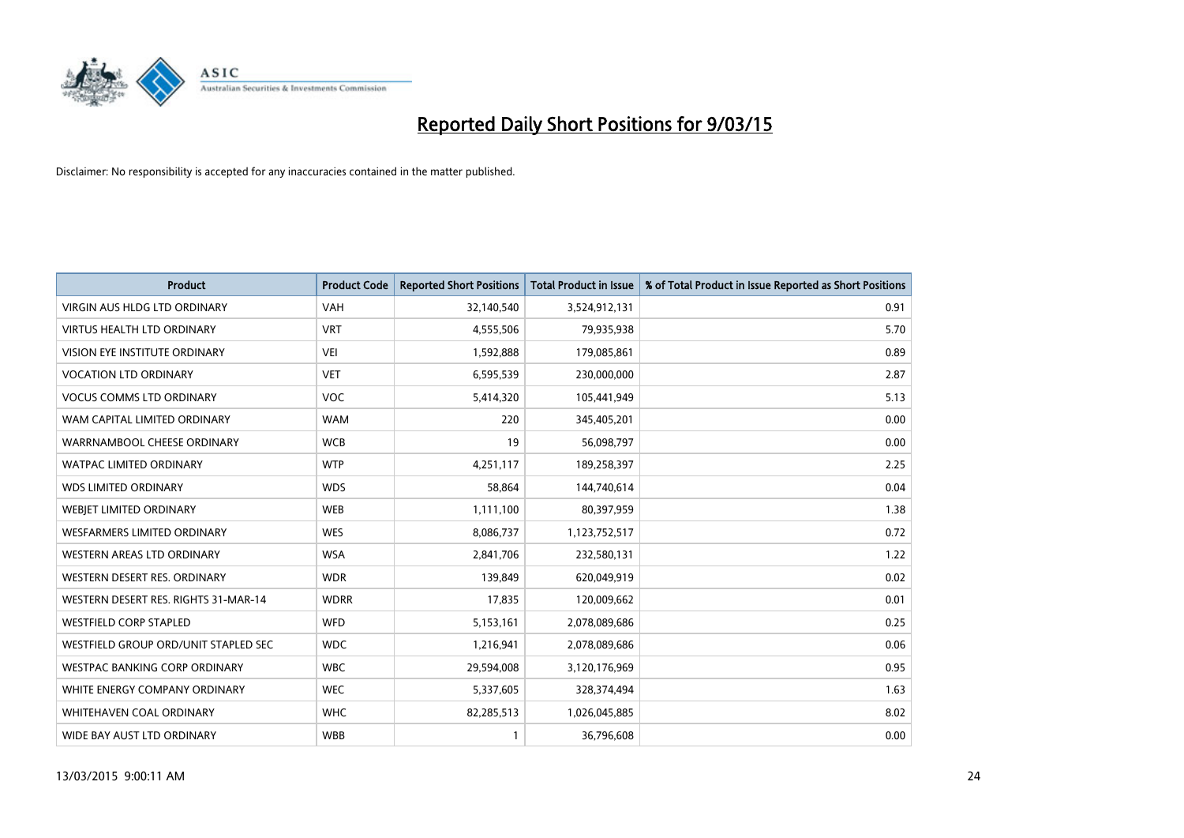

| <b>Product</b>                       | <b>Product Code</b> | <b>Reported Short Positions</b> | <b>Total Product in Issue</b> | % of Total Product in Issue Reported as Short Positions |
|--------------------------------------|---------------------|---------------------------------|-------------------------------|---------------------------------------------------------|
| <b>VIRGIN AUS HLDG LTD ORDINARY</b>  | <b>VAH</b>          | 32,140,540                      | 3,524,912,131                 | 0.91                                                    |
| <b>VIRTUS HEALTH LTD ORDINARY</b>    | <b>VRT</b>          | 4,555,506                       | 79,935,938                    | 5.70                                                    |
| <b>VISION EYE INSTITUTE ORDINARY</b> | <b>VEI</b>          | 1,592,888                       | 179,085,861                   | 0.89                                                    |
| <b>VOCATION LTD ORDINARY</b>         | <b>VET</b>          | 6,595,539                       | 230,000,000                   | 2.87                                                    |
| <b>VOCUS COMMS LTD ORDINARY</b>      | <b>VOC</b>          | 5,414,320                       | 105,441,949                   | 5.13                                                    |
| WAM CAPITAL LIMITED ORDINARY         | <b>WAM</b>          | 220                             | 345,405,201                   | 0.00                                                    |
| WARRNAMBOOL CHEESE ORDINARY          | <b>WCB</b>          | 19                              | 56,098,797                    | 0.00                                                    |
| <b>WATPAC LIMITED ORDINARY</b>       | <b>WTP</b>          | 4,251,117                       | 189,258,397                   | 2.25                                                    |
| <b>WDS LIMITED ORDINARY</b>          | <b>WDS</b>          | 58,864                          | 144,740,614                   | 0.04                                                    |
| WEBIET LIMITED ORDINARY              | <b>WEB</b>          | 1,111,100                       | 80,397,959                    | 1.38                                                    |
| WESFARMERS LIMITED ORDINARY          | <b>WES</b>          | 8,086,737                       | 1,123,752,517                 | 0.72                                                    |
| <b>WESTERN AREAS LTD ORDINARY</b>    | <b>WSA</b>          | 2,841,706                       | 232,580,131                   | 1.22                                                    |
| WESTERN DESERT RES. ORDINARY         | <b>WDR</b>          | 139,849                         | 620,049,919                   | 0.02                                                    |
| WESTERN DESERT RES. RIGHTS 31-MAR-14 | <b>WDRR</b>         | 17,835                          | 120,009,662                   | 0.01                                                    |
| <b>WESTFIELD CORP STAPLED</b>        | WFD                 | 5,153,161                       | 2,078,089,686                 | 0.25                                                    |
| WESTFIELD GROUP ORD/UNIT STAPLED SEC | <b>WDC</b>          | 1,216,941                       | 2,078,089,686                 | 0.06                                                    |
| <b>WESTPAC BANKING CORP ORDINARY</b> | <b>WBC</b>          | 29,594,008                      | 3,120,176,969                 | 0.95                                                    |
| WHITE ENERGY COMPANY ORDINARY        | <b>WEC</b>          | 5,337,605                       | 328,374,494                   | 1.63                                                    |
| WHITEHAVEN COAL ORDINARY             | <b>WHC</b>          | 82,285,513                      | 1,026,045,885                 | 8.02                                                    |
| WIDE BAY AUST LTD ORDINARY           | <b>WBB</b>          |                                 | 36,796,608                    | 0.00                                                    |